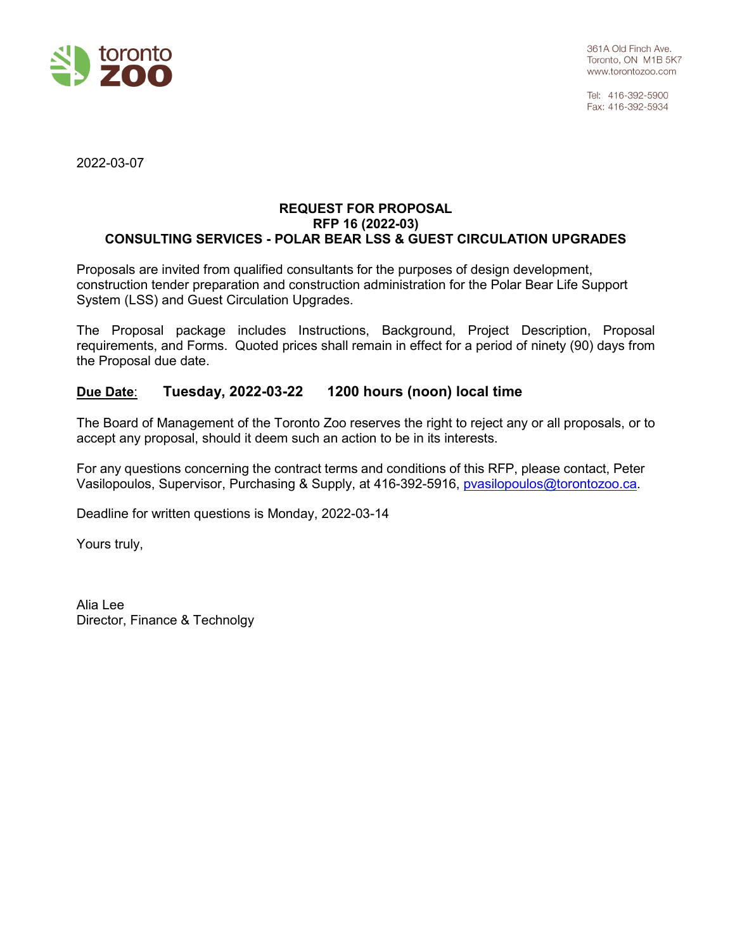

Tel: 416-392-5900 Fax: 416-392-5934

2022-03-07

#### **REQUEST FOR PROPOSAL RFP 16 (2022-03) CONSULTING SERVICES - POLAR BEAR LSS & GUEST CIRCULATION UPGRADES**

Proposals are invited from qualified consultants for the purposes of design development, construction tender preparation and construction administration for the Polar Bear Life Support System (LSS) and Guest Circulation Upgrades.

The Proposal package includes Instructions, Background, Project Description, Proposal requirements, and Forms. Quoted prices shall remain in effect for a period of ninety (90) days from the Proposal due date.

## **Due Date**: **Tuesday, 2022-03-22 1200 hours (noon) local time**

The Board of Management of the Toronto Zoo reserves the right to reject any or all proposals, or to accept any proposal, should it deem such an action to be in its interests.

For any questions concerning the contract terms and conditions of this RFP, please contact, Peter Vasilopoulos, Supervisor, Purchasing & Supply, at 416-392-5916, [pvasilopoulos@torontozoo.ca.](mailto:pvasilopoulos@torontozoo.ca)

Deadline for written questions is Monday, 2022-03-14

Yours truly,

Alia Lee Director, Finance & Technolgy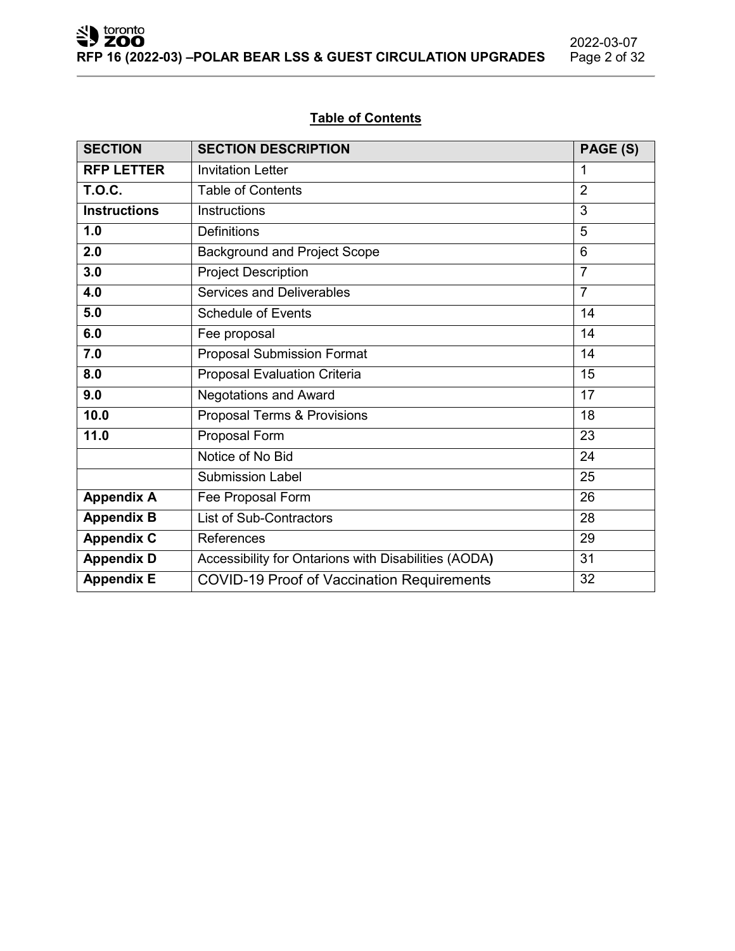# 2022-03-07<br>Page 2 of 32

## **Table of Contents**

| <b>SECTION</b>                               | <b>SECTION DESCRIPTION</b><br>PAGE (S)                  |                 |  |  |
|----------------------------------------------|---------------------------------------------------------|-----------------|--|--|
| <b>RFP LETTER</b>                            | <b>Invitation Letter</b>                                | 1               |  |  |
| <b>T.O.C.</b>                                | <b>Table of Contents</b>                                | $\overline{2}$  |  |  |
| <b>Instructions</b>                          | <b>Instructions</b>                                     | 3               |  |  |
| 1.0                                          | <b>Definitions</b>                                      | 5               |  |  |
| 2.0                                          | <b>Background and Project Scope</b>                     | $6\phantom{1}6$ |  |  |
| 3.0                                          | <b>Project Description</b>                              | $\overline{7}$  |  |  |
| 4.0                                          | <b>Services and Deliverables</b>                        | $\overline{7}$  |  |  |
| 5.0                                          | <b>Schedule of Events</b>                               | 14              |  |  |
| 6.0                                          | Fee proposal                                            | 14              |  |  |
| 7.0                                          | <b>Proposal Submission Format</b>                       | 14              |  |  |
| 8.0                                          | Proposal Evaluation Criteria                            | 15              |  |  |
| 9.0                                          | <b>Negotations and Award</b>                            | $\overline{17}$ |  |  |
| 10.0                                         | Proposal Terms & Provisions                             | 18              |  |  |
| 11.0                                         | Proposal Form                                           | 23              |  |  |
|                                              | Notice of No Bid                                        | 24              |  |  |
|                                              | <b>Submission Label</b>                                 | 25              |  |  |
| <b>Appendix A</b>                            | Fee Proposal Form                                       | 26              |  |  |
| List of Sub-Contractors<br><b>Appendix B</b> |                                                         | 28              |  |  |
| <b>Appendix C</b>                            | 29<br>References                                        |                 |  |  |
| <b>Appendix D</b>                            | Accessibility for Ontarions with Disabilities (AODA)    | 31              |  |  |
| <b>Appendix E</b>                            | <b>COVID-19 Proof of Vaccination Requirements</b><br>32 |                 |  |  |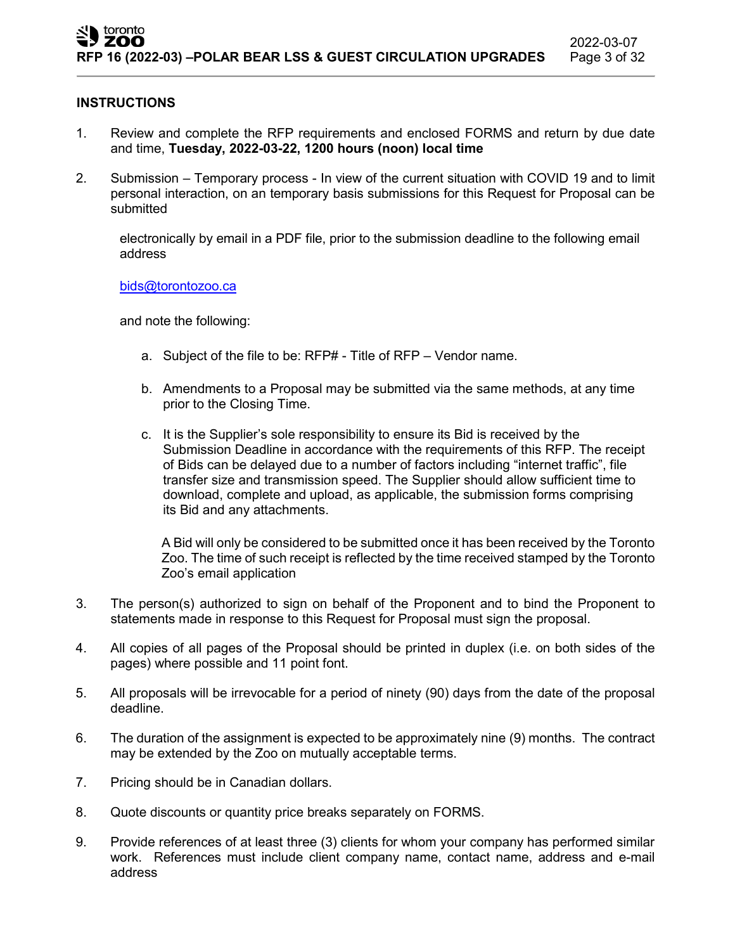## **INSTRUCTIONS**

- 1. Review and complete the RFP requirements and enclosed FORMS and return by due date and time, **Tuesday, 2022-03-22, 1200 hours (noon) local time**
- 2. Submission Temporary process In view of the current situation with COVID 19 and to limit personal interaction, on an temporary basis submissions for this Request for Proposal can be submitted

electronically by email in a PDF file, prior to the submission deadline to the following email address

## [bids@torontozoo.ca](mailto:bids@torontozoo.ca)

and note the following:

- a. Subject of the file to be: RFP# Title of RFP Vendor name.
- b. Amendments to a Proposal may be submitted via the same methods, at any time prior to the Closing Time.
- c. It is the Supplier's sole responsibility to ensure its Bid is received by the Submission Deadline in accordance with the requirements of this RFP. The receipt of Bids can be delayed due to a number of factors including "internet traffic", file transfer size and transmission speed. The Supplier should allow sufficient time to download, complete and upload, as applicable, the submission forms comprising its Bid and any attachments.

A Bid will only be considered to be submitted once it has been received by the Toronto Zoo. The time of such receipt is reflected by the time received stamped by the Toronto Zoo's email application

- 3. The person(s) authorized to sign on behalf of the Proponent and to bind the Proponent to statements made in response to this Request for Proposal must sign the proposal.
- 4. All copies of all pages of the Proposal should be printed in duplex (i.e. on both sides of the pages) where possible and 11 point font.
- 5. All proposals will be irrevocable for a period of ninety (90) days from the date of the proposal deadline.
- 6. The duration of the assignment is expected to be approximately nine (9) months. The contract may be extended by the Zoo on mutually acceptable terms.
- 7. Pricing should be in Canadian dollars.
- 8. Quote discounts or quantity price breaks separately on FORMS.
- 9. Provide references of at least three (3) clients for whom your company has performed similar work. References must include client company name, contact name, address and e-mail address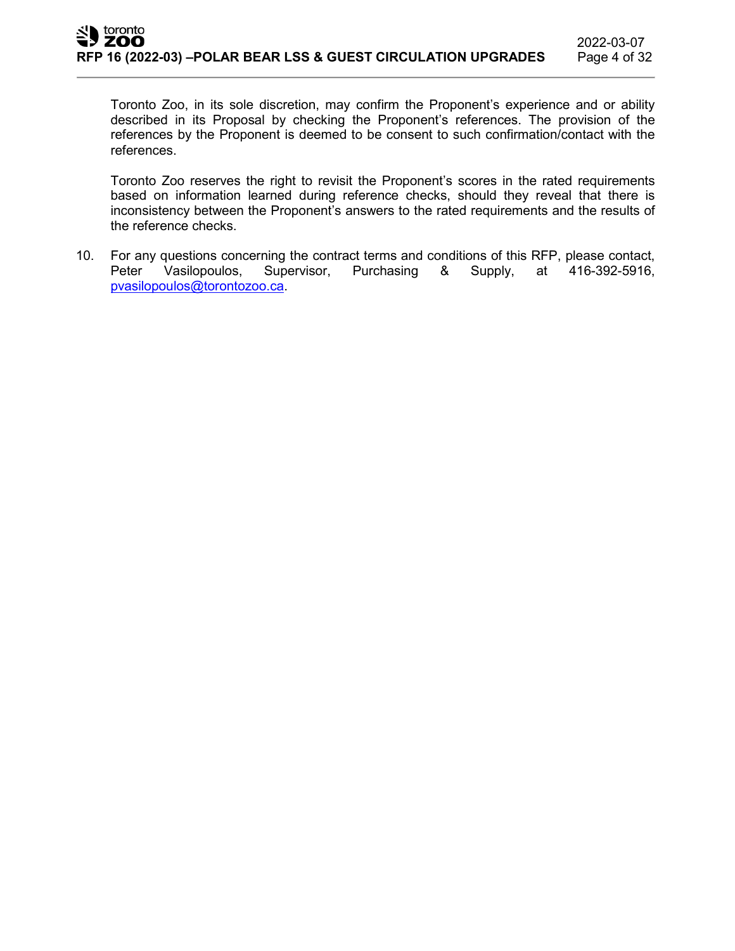Toronto Zoo, in its sole discretion, may confirm the Proponent's experience and or ability described in its Proposal by checking the Proponent's references. The provision of the references by the Proponent is deemed to be consent to such confirmation/contact with the references.

Toronto Zoo reserves the right to revisit the Proponent's scores in the rated requirements based on information learned during reference checks, should they reveal that there is inconsistency between the Proponent's answers to the rated requirements and the results of the reference checks.

10. For any questions concerning the contract terms and conditions of this RFP, please contact,<br>Peter Vasilopoulos, Supervisor, Purchasing & Supply, at 416-392-5916, Peter Vasilopoulos, Supervisor, Purchasing & Supply, at 416-392-5916, [pvasilopoulos@torontozoo.ca.](mailto:pvasilopoulos@torontozoo.ca)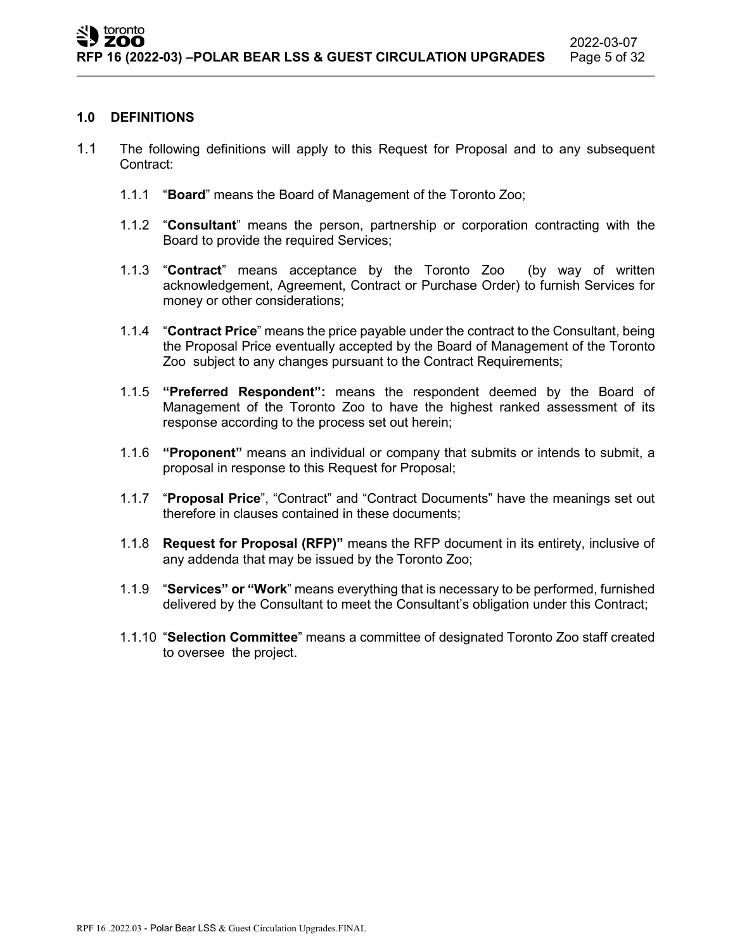#### **1.0 DEFINITIONS**

- 1.1 The following definitions will apply to this Request for Proposal and to any subsequent Contract:
	- 1.1.1 "**Board**" means the Board of Management of the Toronto Zoo;
	- 1.1.2 "**Consultant**" means the person, partnership or corporation contracting with the Board to provide the required Services;
	- 1.1.3 "**Contract**" means acceptance by the Toronto Zoo (by way of written acknowledgement, Agreement, Contract or Purchase Order) to furnish Services for money or other considerations;
	- 1.1.4 "**Contract Price**" means the price payable under the contract to the Consultant, being the Proposal Price eventually accepted by the Board of Management of the Toronto Zoo subject to any changes pursuant to the Contract Requirements;
	- 1.1.5 **"Preferred Respondent":** means the respondent deemed by the Board of Management of the Toronto Zoo to have the highest ranked assessment of its response according to the process set out herein;
	- 1.1.6 **"Proponent"** means an individual or company that submits or intends to submit, a proposal in response to this Request for Proposal;
	- 1.1.7 "**Proposal Price**", "Contract" and "Contract Documents" have the meanings set out therefore in clauses contained in these documents;
	- 1.1.8 **Request for Proposal (RFP)"** means the RFP document in its entirety, inclusive of any addenda that may be issued by the Toronto Zoo;
	- 1.1.9 "**Services" or "Work**" means everything that is necessary to be performed, furnished delivered by the Consultant to meet the Consultant's obligation under this Contract;
	- 1.1.10 "**Selection Committee**" means a committee of designated Toronto Zoo staff created to oversee the project.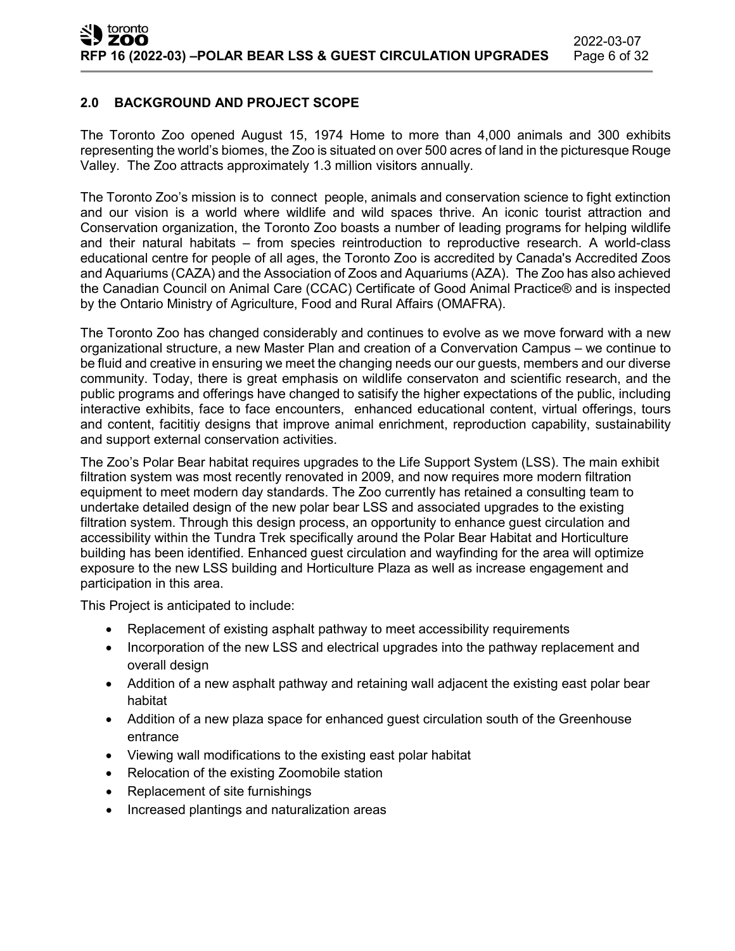## **2.0 BACKGROUND AND PROJECT SCOPE**

The Toronto Zoo opened August 15, 1974 Home to more than 4,000 animals and 300 exhibits representing the world's biomes, the Zoo is situated on over 500 acres of land in the picturesque Rouge Valley. The Zoo attracts approximately 1.3 million visitors annually.

The Toronto Zoo's mission is to connect people, animals and conservation science to fight extinction and our vision is a world where wildlife and wild spaces thrive. An iconic tourist attraction and Conservation organization, the Toronto Zoo boasts a number of leading programs for helping wildlife and their natural habitats – from species reintroduction to reproductive research. A world-class educational centre for people of all ages, the Toronto Zoo is accredited by Canada's Accredited Zoos and Aquariums (CAZA) and the Association of Zoos and Aquariums (AZA). The Zoo has also achieved the Canadian Council on Animal Care (CCAC) Certificate of Good Animal Practice® and is inspected by the Ontario Ministry of Agriculture, Food and Rural Affairs (OMAFRA).

The Toronto Zoo has changed considerably and continues to evolve as we move forward with a new organizational structure, a new Master Plan and creation of a Convervation Campus – we continue to be fluid and creative in ensuring we meet the changing needs our our guests, members and our diverse community. Today, there is great emphasis on wildlife conservaton and scientific research, and the public programs and offerings have changed to satisify the higher expectations of the public, including interactive exhibits, face to face encounters, enhanced educational content, virtual offerings, tours and content, facititiy designs that improve animal enrichment, reproduction capability, sustainability and support external conservation activities.

The Zoo's Polar Bear habitat requires upgrades to the Life Support System (LSS). The main exhibit filtration system was most recently renovated in 2009, and now requires more modern filtration equipment to meet modern day standards. The Zoo currently has retained a consulting team to undertake detailed design of the new polar bear LSS and associated upgrades to the existing filtration system. Through this design process, an opportunity to enhance guest circulation and accessibility within the Tundra Trek specifically around the Polar Bear Habitat and Horticulture building has been identified. Enhanced guest circulation and wayfinding for the area will optimize exposure to the new LSS building and Horticulture Plaza as well as increase engagement and participation in this area.

This Project is anticipated to include:

- Replacement of existing asphalt pathway to meet accessibility requirements
- Incorporation of the new LSS and electrical upgrades into the pathway replacement and overall design
- Addition of a new asphalt pathway and retaining wall adjacent the existing east polar bear habitat
- Addition of a new plaza space for enhanced guest circulation south of the Greenhouse entrance
- Viewing wall modifications to the existing east polar habitat
- Relocation of the existing Zoomobile station
- Replacement of site furnishings
- Increased plantings and naturalization areas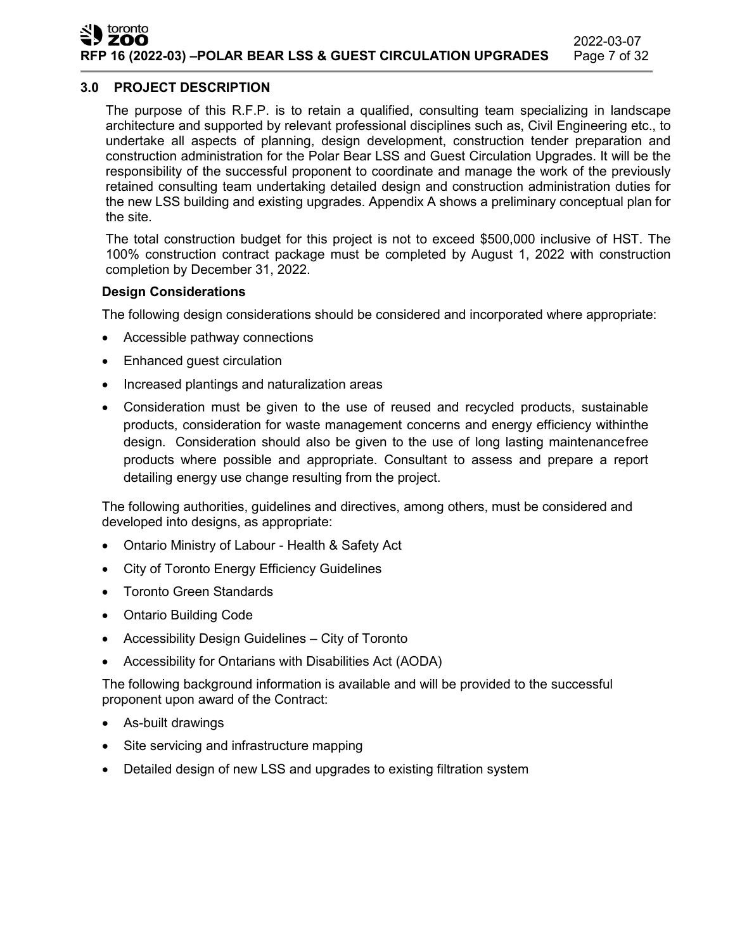## **3.0 PROJECT DESCRIPTION**

The purpose of this R.F.P. is to retain a qualified, consulting team specializing in landscape architecture and supported by relevant professional disciplines such as, Civil Engineering etc., to undertake all aspects of planning, design development, construction tender preparation and construction administration for the Polar Bear LSS and Guest Circulation Upgrades. It will be the responsibility of the successful proponent to coordinate and manage the work of the previously retained consulting team undertaking detailed design and construction administration duties for the new LSS building and existing upgrades. Appendix A shows a preliminary conceptual plan for the site.

The total construction budget for this project is not to exceed \$500,000 inclusive of HST. The 100% construction contract package must be completed by August 1, 2022 with construction completion by December 31, 2022.

## **Design Considerations**

The following design considerations should be considered and incorporated where appropriate:

- Accessible pathway connections
- Enhanced guest circulation
- Increased plantings and naturalization areas
- Consideration must be given to the use of reused and recycled products, sustainable products, consideration for waste management concerns and energy efficiency withinthe design. Consideration should also be given to the use of long lasting maintenancefree products where possible and appropriate. Consultant to assess and prepare a report detailing energy use change resulting from the project.

The following authorities, guidelines and directives, among others, must be considered and developed into designs, as appropriate:

- Ontario Ministry of Labour Health & Safety Act
- City of Toronto Energy Efficiency Guidelines
- Toronto Green Standards
- Ontario Building Code
- Accessibility Design Guidelines City of Toronto
- Accessibility for Ontarians with Disabilities Act (AODA)

The following background information is available and will be provided to the successful proponent upon award of the Contract:

- As-built drawings
- Site servicing and infrastructure mapping
- Detailed design of new LSS and upgrades to existing filtration system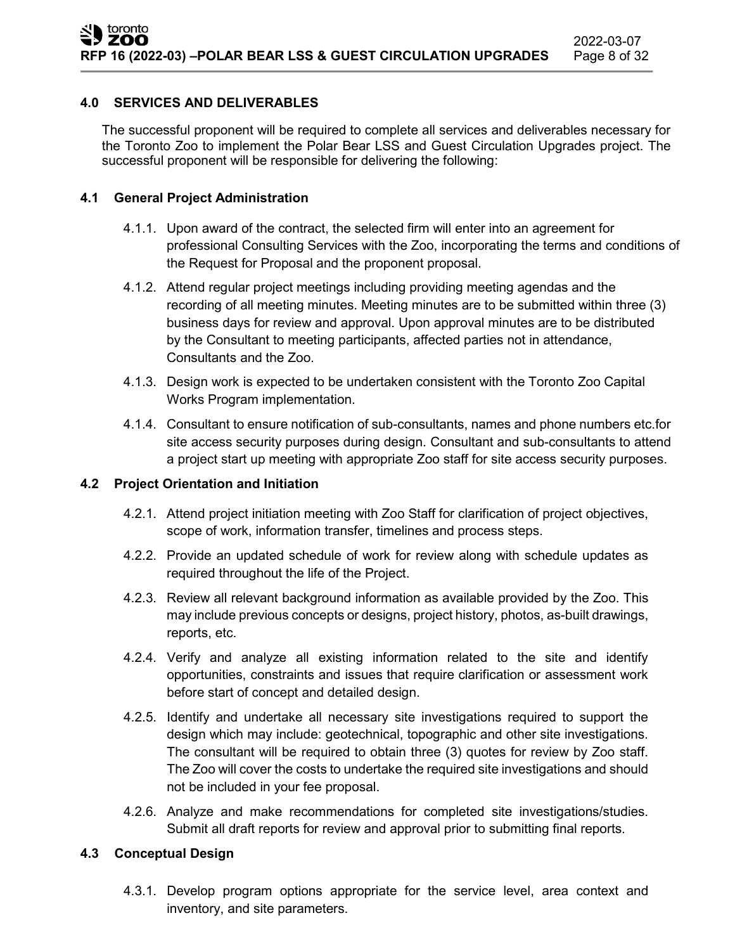### **4.0 SERVICES AND DELIVERABLES**

The successful proponent will be required to complete all services and deliverables necessary for the Toronto Zoo to implement the Polar Bear LSS and Guest Circulation Upgrades project. The successful proponent will be responsible for delivering the following:

## **4.1 General Project Administration**

- 4.1.1. Upon award of the contract, the selected firm will enter into an agreement for professional Consulting Services with the Zoo, incorporating the terms and conditions of the Request for Proposal and the proponent proposal.
- 4.1.2. Attend regular project meetings including providing meeting agendas and the recording of all meeting minutes. Meeting minutes are to be submitted within three (3) business days for review and approval. Upon approval minutes are to be distributed by the Consultant to meeting participants, affected parties not in attendance, Consultants and the Zoo.
- 4.1.3. Design work is expected to be undertaken consistent with the Toronto Zoo Capital Works Program implementation.
- 4.1.4. Consultant to ensure notification of sub-consultants, names and phone numbers etc.for site access security purposes during design. Consultant and sub-consultants to attend a project start up meeting with appropriate Zoo staff for site access security purposes.

#### **4.2 Project Orientation and Initiation**

- 4.2.1. Attend project initiation meeting with Zoo Staff for clarification of project objectives, scope of work, information transfer, timelines and process steps.
- 4.2.2. Provide an updated schedule of work for review along with schedule updates as required throughout the life of the Project.
- 4.2.3. Review all relevant background information as available provided by the Zoo. This may include previous concepts or designs, project history, photos, as-built drawings, reports, etc.
- 4.2.4. Verify and analyze all existing information related to the site and identify opportunities, constraints and issues that require clarification or assessment work before start of concept and detailed design.
- 4.2.5. Identify and undertake all necessary site investigations required to support the design which may include: geotechnical, topographic and other site investigations. The consultant will be required to obtain three (3) quotes for review by Zoo staff. The Zoo will cover the costs to undertake the required site investigations and should not be included in your fee proposal.
- 4.2.6. Analyze and make recommendations for completed site investigations/studies. Submit all draft reports for review and approval prior to submitting final reports.

## **4.3 Conceptual Design**

4.3.1. Develop program options appropriate for the service level, area context and inventory, and site parameters.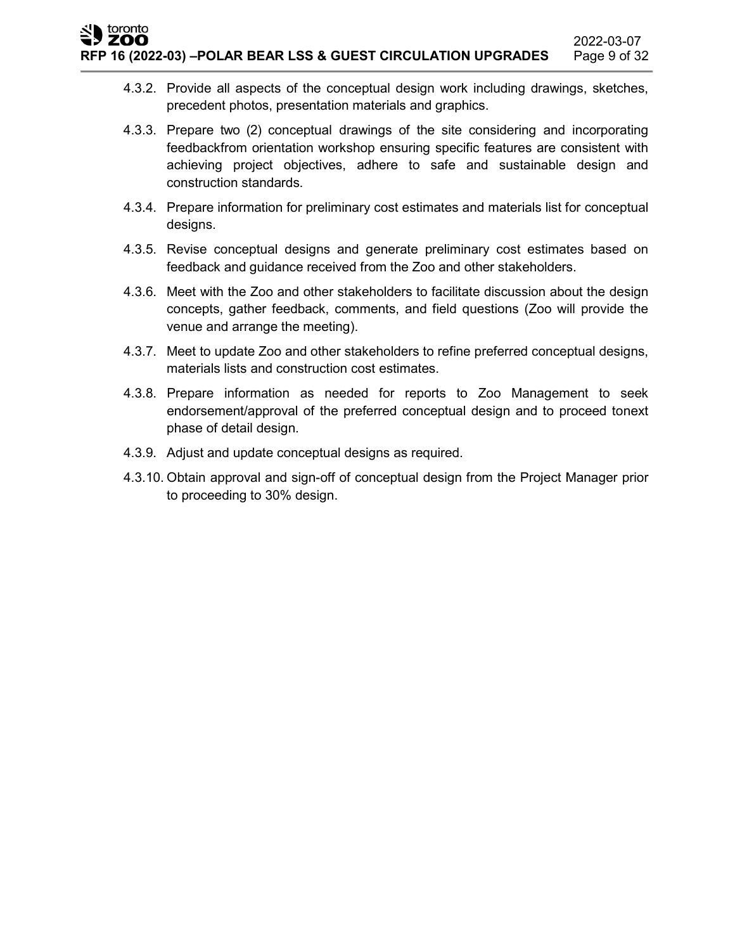- 4.3.2. Provide all aspects of the conceptual design work including drawings, sketches, precedent photos, presentation materials and graphics.
- 4.3.3. Prepare two (2) conceptual drawings of the site considering and incorporating feedbackfrom orientation workshop ensuring specific features are consistent with achieving project objectives, adhere to safe and sustainable design and construction standards.
- 4.3.4. Prepare information for preliminary cost estimates and materials list for conceptual designs.
- 4.3.5. Revise conceptual designs and generate preliminary cost estimates based on feedback and guidance received from the Zoo and other stakeholders.
- 4.3.6. Meet with the Zoo and other stakeholders to facilitate discussion about the design concepts, gather feedback, comments, and field questions (Zoo will provide the venue and arrange the meeting).
- 4.3.7. Meet to update Zoo and other stakeholders to refine preferred conceptual designs, materials lists and construction cost estimates.
- 4.3.8. Prepare information as needed for reports to Zoo Management to seek endorsement/approval of the preferred conceptual design and to proceed tonext phase of detail design.
- 4.3.9. Adjust and update conceptual designs as required.
- 4.3.10. Obtain approval and sign-off of conceptual design from the Project Manager prior to proceeding to 30% design.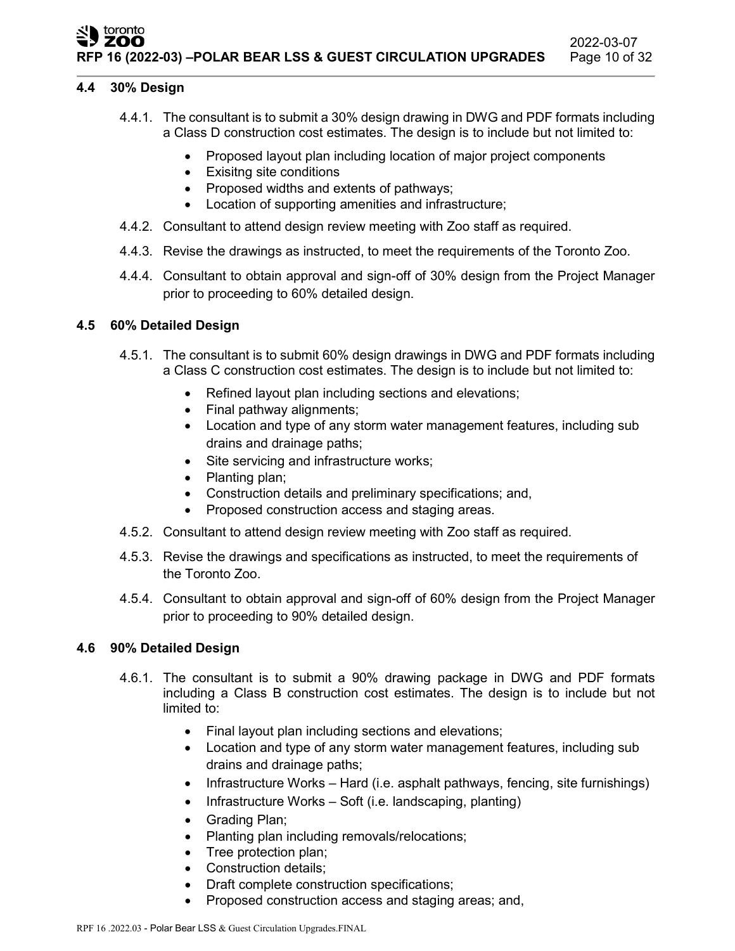#### toronto **ZOO RFP 16 (2022-03) –POLAR BEAR LSS & GUEST CIRCULATION UPGRADES** Page 10 of 32

#### **4.4 30% Design**

- 4.4.1. The consultant is to submit a 30% design drawing in DWG and PDF formats including a Class D construction cost estimates. The design is to include but not limited to:
	- Proposed layout plan including location of major project components
	- Exisitng site conditions
	- Proposed widths and extents of pathways;
	- Location of supporting amenities and infrastructure;
- 4.4.2. Consultant to attend design review meeting with Zoo staff as required.
- 4.4.3. Revise the drawings as instructed, to meet the requirements of the Toronto Zoo.
- 4.4.4. Consultant to obtain approval and sign-off of 30% design from the Project Manager prior to proceeding to 60% detailed design.

#### **4.5 60% Detailed Design**

- 4.5.1. The consultant is to submit 60% design drawings in DWG and PDF formats including a Class C construction cost estimates. The design is to include but not limited to:
	- Refined layout plan including sections and elevations;
	- Final pathway alignments;
	- Location and type of any storm water management features, including sub drains and drainage paths;
	- Site servicing and infrastructure works;
	- Planting plan;
	- Construction details and preliminary specifications; and,
	- Proposed construction access and staging areas.
- 4.5.2. Consultant to attend design review meeting with Zoo staff as required.
- 4.5.3. Revise the drawings and specifications as instructed, to meet the requirements of the Toronto Zoo.
- 4.5.4. Consultant to obtain approval and sign-off of 60% design from the Project Manager prior to proceeding to 90% detailed design.

#### **4.6 90% Detailed Design**

- 4.6.1. The consultant is to submit a 90% drawing package in DWG and PDF formats including a Class B construction cost estimates. The design is to include but not limited to:
	- Final layout plan including sections and elevations;
	- Location and type of any storm water management features, including sub drains and drainage paths;
	- Infrastructure Works Hard (i.e. asphalt pathways, fencing, site furnishings)
	- Infrastructure Works Soft (i.e. landscaping, planting)
	- Grading Plan;
	- Planting plan including removals/relocations;
	- Tree protection plan;
	- Construction details:
	- Draft complete construction specifications;
	- Proposed construction access and staging areas; and,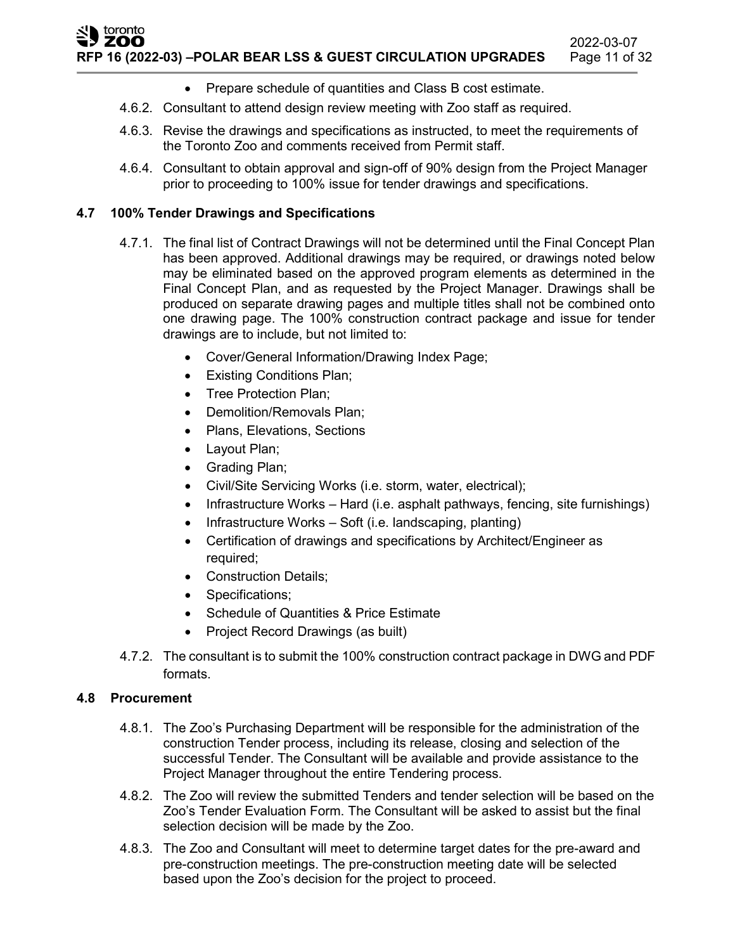- Prepare schedule of quantities and Class B cost estimate.
- 4.6.2. Consultant to attend design review meeting with Zoo staff as required.
- 4.6.3. Revise the drawings and specifications as instructed, to meet the requirements of the Toronto Zoo and comments received from Permit staff.
- 4.6.4. Consultant to obtain approval and sign-off of 90% design from the Project Manager prior to proceeding to 100% issue for tender drawings and specifications.

## **4.7 100% Tender Drawings and Specifications**

- 4.7.1. The final list of Contract Drawings will not be determined until the Final Concept Plan has been approved. Additional drawings may be required, or drawings noted below may be eliminated based on the approved program elements as determined in the Final Concept Plan, and as requested by the Project Manager. Drawings shall be produced on separate drawing pages and multiple titles shall not be combined onto one drawing page. The 100% construction contract package and issue for tender drawings are to include, but not limited to:
	- Cover/General Information/Drawing Index Page;
	- Existing Conditions Plan;
	- Tree Protection Plan;
	- Demolition/Removals Plan;
	- Plans, Elevations, Sections
	- Layout Plan;
	- Grading Plan;
	- Civil/Site Servicing Works (i.e. storm, water, electrical);
	- Infrastructure Works Hard (i.e. asphalt pathways, fencing, site furnishings)
	- Infrastructure Works Soft (i.e. landscaping, planting)
	- Certification of drawings and specifications by Architect/Engineer as required;
	- Construction Details:
	- Specifications;
	- Schedule of Quantities & Price Estimate
	- Project Record Drawings (as built)
- 4.7.2. The consultant is to submit the 100% construction contract package in DWG and PDF formats.

## **4.8 Procurement**

- 4.8.1. The Zoo's Purchasing Department will be responsible for the administration of the construction Tender process, including its release, closing and selection of the successful Tender. The Consultant will be available and provide assistance to the Project Manager throughout the entire Tendering process.
- 4.8.2. The Zoo will review the submitted Tenders and tender selection will be based on the Zoo's Tender Evaluation Form. The Consultant will be asked to assist but the final selection decision will be made by the Zoo.
- 4.8.3. The Zoo and Consultant will meet to determine target dates for the pre-award and pre-construction meetings. The pre-construction meeting date will be selected based upon the Zoo's decision for the project to proceed.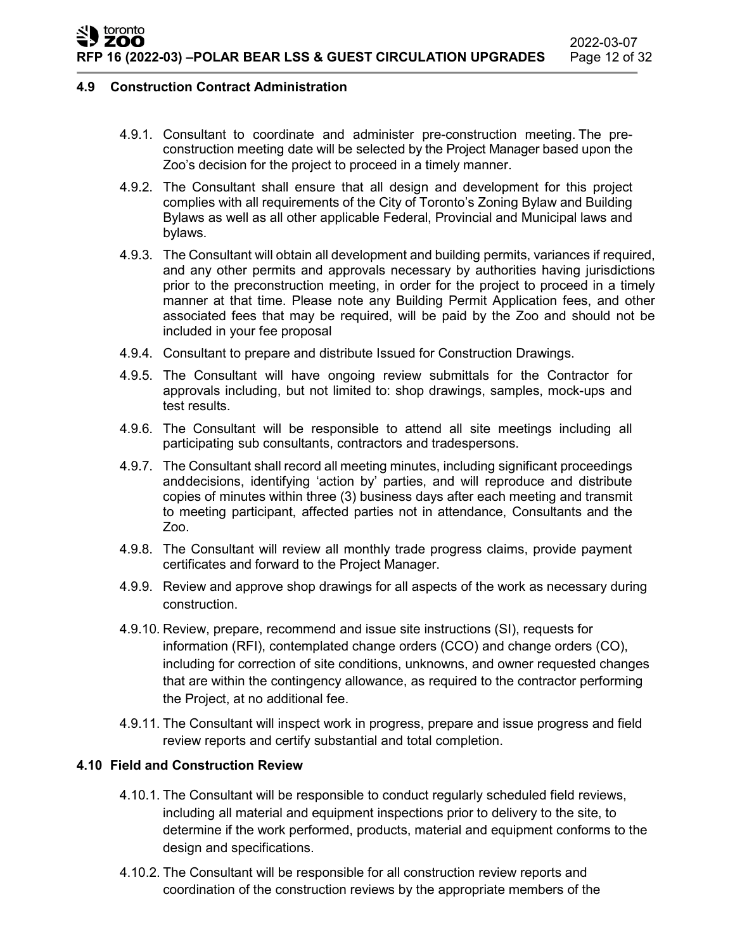#### **4.9 Construction Contract Administration**

- 4.9.1. Consultant to coordinate and administer pre-construction meeting. The preconstruction meeting date will be selected by the Project Manager based upon the Zoo's decision for the project to proceed in a timely manner.
- 4.9.2. The Consultant shall ensure that all design and development for this project complies with all requirements of the City of Toronto's Zoning Bylaw and Building Bylaws as well as all other applicable Federal, Provincial and Municipal laws and bylaws.
- 4.9.3. The Consultant will obtain all development and building permits, variances if required, and any other permits and approvals necessary by authorities having jurisdictions prior to the preconstruction meeting, in order for the project to proceed in a timely manner at that time. Please note any Building Permit Application fees, and other associated fees that may be required, will be paid by the Zoo and should not be included in your fee proposal
- 4.9.4. Consultant to prepare and distribute Issued for Construction Drawings.
- 4.9.5. The Consultant will have ongoing review submittals for the Contractor for approvals including, but not limited to: shop drawings, samples, mock-ups and test results.
- 4.9.6. The Consultant will be responsible to attend all site meetings including all participating sub consultants, contractors and tradespersons.
- 4.9.7. The Consultant shall record all meeting minutes, including significant proceedings anddecisions, identifying 'action by' parties, and will reproduce and distribute copies of minutes within three (3) business days after each meeting and transmit to meeting participant, affected parties not in attendance, Consultants and the Zoo.
- 4.9.8. The Consultant will review all monthly trade progress claims, provide payment certificates and forward to the Project Manager.
- 4.9.9. Review and approve shop drawings for all aspects of the work as necessary during construction.
- 4.9.10. Review, prepare, recommend and issue site instructions (SI), requests for information (RFI), contemplated change orders (CCO) and change orders (CO), including for correction of site conditions, unknowns, and owner requested changes that are within the contingency allowance, as required to the contractor performing the Project, at no additional fee.
- 4.9.11. The Consultant will inspect work in progress, prepare and issue progress and field review reports and certify substantial and total completion.

#### **4.10 Field and Construction Review**

- 4.10.1. The Consultant will be responsible to conduct regularly scheduled field reviews, including all material and equipment inspections prior to delivery to the site, to determine if the work performed, products, material and equipment conforms to the design and specifications.
- 4.10.2. The Consultant will be responsible for all construction review reports and coordination of the construction reviews by the appropriate members of the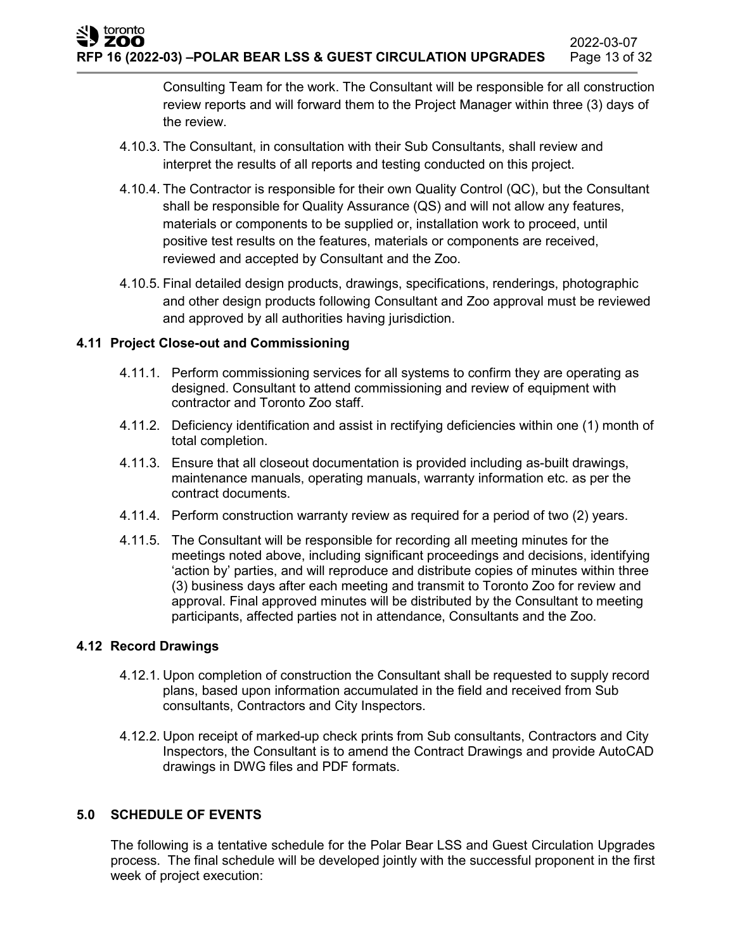Consulting Team for the work. The Consultant will be responsible for all construction review reports and will forward them to the Project Manager within three (3) days of the review.

- 4.10.3. The Consultant, in consultation with their Sub Consultants, shall review and interpret the results of all reports and testing conducted on this project.
- 4.10.4. The Contractor is responsible for their own Quality Control (QC), but the Consultant shall be responsible for Quality Assurance (QS) and will not allow any features, materials or components to be supplied or, installation work to proceed, until positive test results on the features, materials or components are received, reviewed and accepted by Consultant and the Zoo.
- 4.10.5. Final detailed design products, drawings, specifications, renderings, photographic and other design products following Consultant and Zoo approval must be reviewed and approved by all authorities having jurisdiction.

### **4.11 Project Close-out and Commissioning**

- 4.11.1. Perform commissioning services for all systems to confirm they are operating as designed. Consultant to attend commissioning and review of equipment with contractor and Toronto Zoo staff.
- 4.11.2. Deficiency identification and assist in rectifying deficiencies within one (1) month of total completion.
- 4.11.3. Ensure that all closeout documentation is provided including as-built drawings, maintenance manuals, operating manuals, warranty information etc. as per the contract documents.
- 4.11.4. Perform construction warranty review as required for a period of two (2) years.
- 4.11.5. The Consultant will be responsible for recording all meeting minutes for the meetings noted above, including significant proceedings and decisions, identifying 'action by' parties, and will reproduce and distribute copies of minutes within three (3) business days after each meeting and transmit to Toronto Zoo for review and approval. Final approved minutes will be distributed by the Consultant to meeting participants, affected parties not in attendance, Consultants and the Zoo.

#### **4.12 Record Drawings**

- 4.12.1. Upon completion of construction the Consultant shall be requested to supply record plans, based upon information accumulated in the field and received from Sub consultants, Contractors and City Inspectors.
- 4.12.2. Upon receipt of marked-up check prints from Sub consultants, Contractors and City Inspectors, the Consultant is to amend the Contract Drawings and provide AutoCAD drawings in DWG files and PDF formats.

## **5.0 SCHEDULE OF EVENTS**

The following is a tentative schedule for the Polar Bear LSS and Guest Circulation Upgrades process. The final schedule will be developed jointly with the successful proponent in the first week of project execution: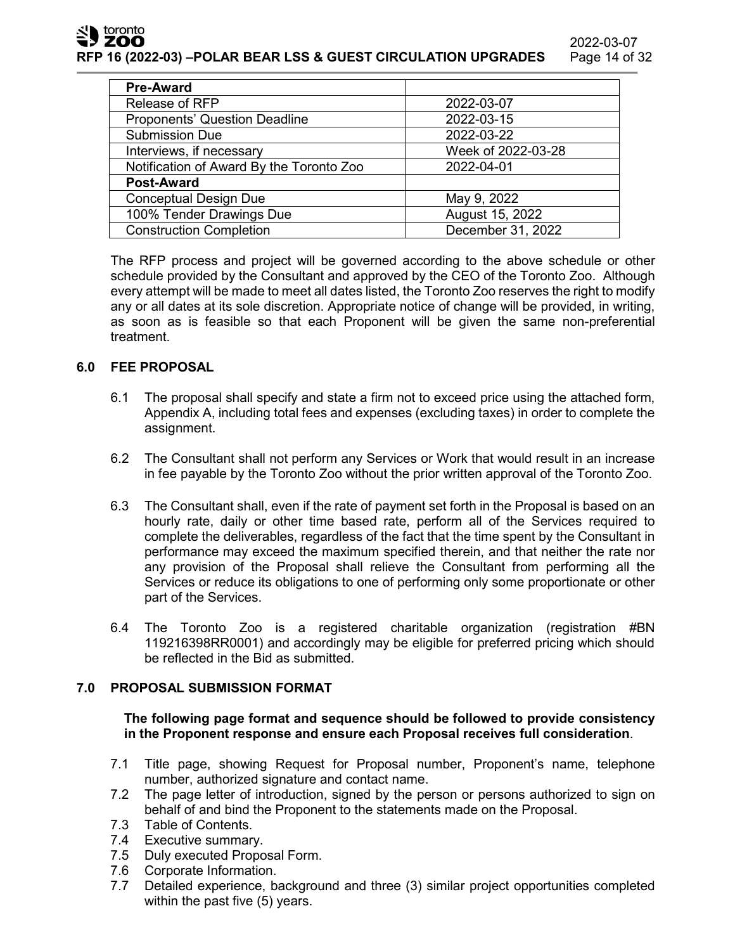toronto ZOO

**RFP 16 (2022-03) –POLAR BEAR LSS & GUEST CIRCULATION UPGRADES** Page 14 of 32

| <b>Pre-Award</b>                         |                    |
|------------------------------------------|--------------------|
| Release of RFP                           | 2022-03-07         |
| <b>Proponents' Question Deadline</b>     | 2022-03-15         |
| <b>Submission Due</b>                    | 2022-03-22         |
| Interviews, if necessary                 | Week of 2022-03-28 |
| Notification of Award By the Toronto Zoo | 2022-04-01         |
| <b>Post-Award</b>                        |                    |
| <b>Conceptual Design Due</b>             | May 9, 2022        |
| 100% Tender Drawings Due                 | August 15, 2022    |
| <b>Construction Completion</b>           | December 31, 2022  |

The RFP process and project will be governed according to the above schedule or other schedule provided by the Consultant and approved by the CEO of the Toronto Zoo. Although every attempt will be made to meet all dates listed, the Toronto Zoo reserves the right to modify any or all dates at its sole discretion. Appropriate notice of change will be provided, in writing, as soon as is feasible so that each Proponent will be given the same non-preferential treatment.

#### **6.0 FEE PROPOSAL**

- 6.1 The proposal shall specify and state a firm not to exceed price using the attached form, Appendix A, including total fees and expenses (excluding taxes) in order to complete the assignment.
- 6.2 The Consultant shall not perform any Services or Work that would result in an increase in fee payable by the Toronto Zoo without the prior written approval of the Toronto Zoo.
- 6.3 The Consultant shall, even if the rate of payment set forth in the Proposal is based on an hourly rate, daily or other time based rate, perform all of the Services required to complete the deliverables, regardless of the fact that the time spent by the Consultant in performance may exceed the maximum specified therein, and that neither the rate nor any provision of the Proposal shall relieve the Consultant from performing all the Services or reduce its obligations to one of performing only some proportionate or other part of the Services.
- 6.4 The Toronto Zoo is a registered charitable organization (registration #BN 119216398RR0001) and accordingly may be eligible for preferred pricing which should be reflected in the Bid as submitted.

#### **7.0 PROPOSAL SUBMISSION FORMAT**

**The following page format and sequence should be followed to provide consistency in the Proponent response and ensure each Proposal receives full consideration**.

- 7.1 Title page, showing Request for Proposal number, Proponent's name, telephone number, authorized signature and contact name.
- 7.2 The page letter of introduction, signed by the person or persons authorized to sign on behalf of and bind the Proponent to the statements made on the Proposal.
- 7.3 Table of Contents.
- 7.4 Executive summary.
- 7.5 Duly executed Proposal Form.
- 7.6 Corporate Information.
- 7.7 Detailed experience, background and three (3) similar project opportunities completed within the past five (5) years.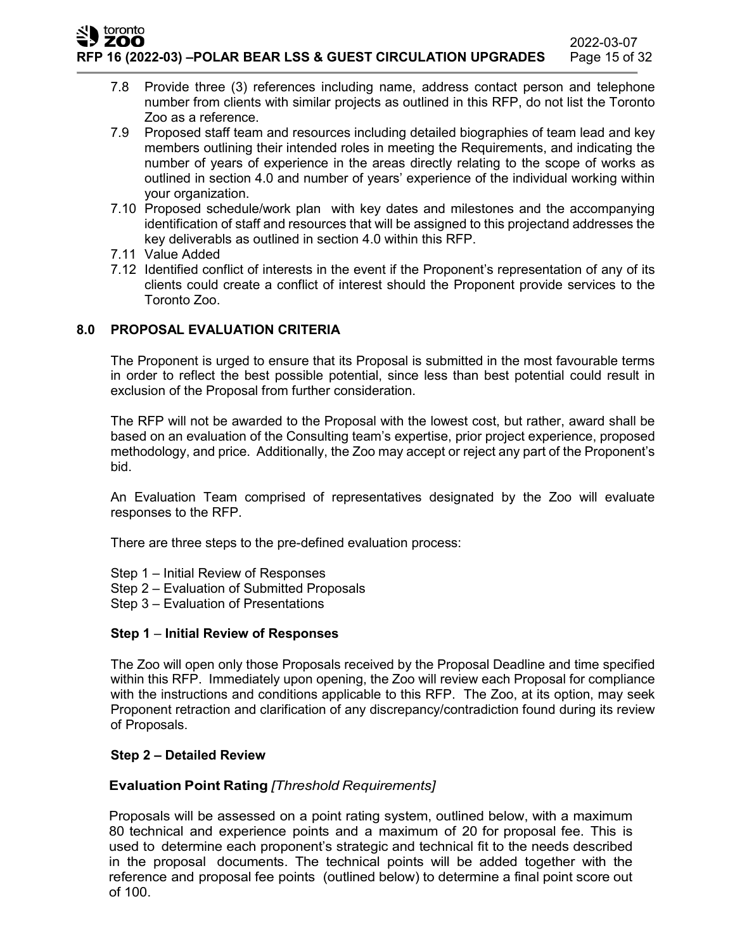**RFP 16 (2022-03) –POLAR BEAR LSS & GUEST CIRCULATION UPGRADES** Page 15 of 32

- 7.8 Provide three (3) references including name, address contact person and telephone number from clients with similar projects as outlined in this RFP, do not list the Toronto Zoo as a reference.
- 7.9 Proposed staff team and resources including detailed biographies of team lead and key members outlining their intended roles in meeting the Requirements, and indicating the number of years of experience in the areas directly relating to the scope of works as outlined in section 4.0 and number of years' experience of the individual working within your organization.
- 7.10 Proposed schedule/work plan with key dates and milestones and the accompanying identification of staff and resources that will be assigned to this projectand addresses the key deliverabls as outlined in section 4.0 within this RFP.
- 7.11 Value Added

toronto ZOO

> 7.12 Identified conflict of interests in the event if the Proponent's representation of any of its clients could create a conflict of interest should the Proponent provide services to the Toronto Zoo.

### **8.0 PROPOSAL EVALUATION CRITERIA**

The Proponent is urged to ensure that its Proposal is submitted in the most favourable terms in order to reflect the best possible potential, since less than best potential could result in exclusion of the Proposal from further consideration.

The RFP will not be awarded to the Proposal with the lowest cost, but rather, award shall be based on an evaluation of the Consulting team's expertise, prior project experience, proposed methodology, and price. Additionally, the Zoo may accept or reject any part of the Proponent's bid.

An Evaluation Team comprised of representatives designated by the Zoo will evaluate responses to the RFP.

There are three steps to the pre-defined evaluation process:

- Step 1 Initial Review of Responses
- Step 2 Evaluation of Submitted Proposals
- Step 3 Evaluation of Presentations

#### **Step 1** – **Initial Review of Responses**

The Zoo will open only those Proposals received by the Proposal Deadline and time specified within this RFP. Immediately upon opening, the Zoo will review each Proposal for compliance with the instructions and conditions applicable to this RFP. The Zoo, at its option, may seek Proponent retraction and clarification of any discrepancy/contradiction found during its review of Proposals.

#### **Step 2 – Detailed Review**

#### **Evaluation Point Rating** *[Threshold Requirements]*

Proposals will be assessed on a point rating system, outlined below, with a maximum 80 technical and experience points and a maximum of 20 for proposal fee. This is used to determine each proponent's strategic and technical fit to the needs described in the proposal documents. The technical points will be added together with the reference and proposal fee points (outlined below) to determine a final point score out of 100.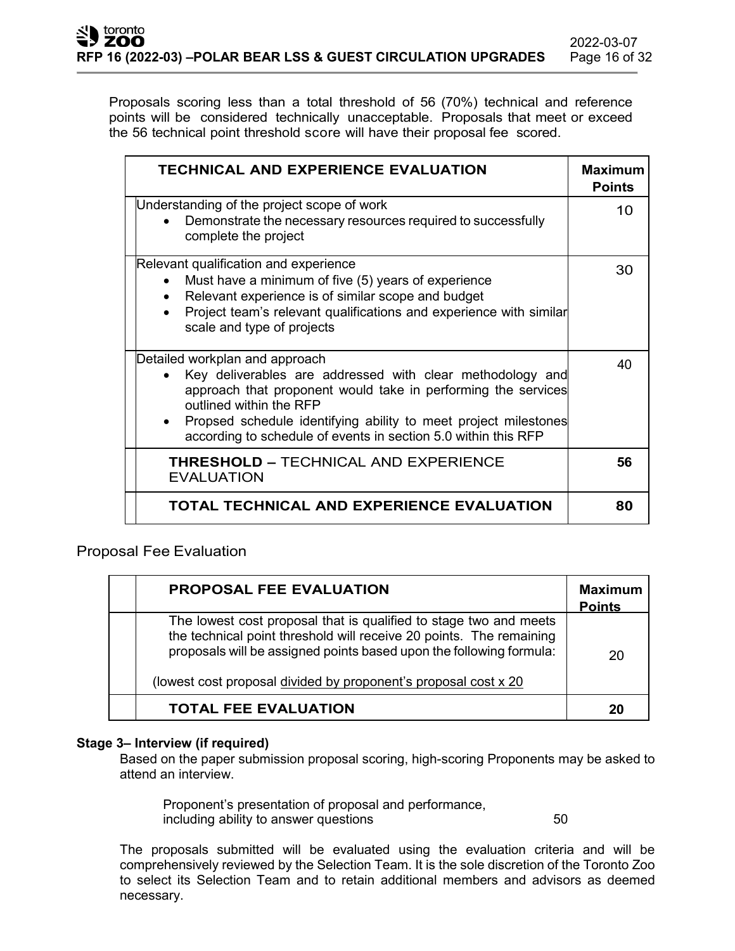Proposals scoring less than a total threshold of 56 (70%) technical and reference points will be considered technically unacceptable. Proposals that meet or exceed the 56 technical point threshold score will have their proposal fee scored.

| <b>TECHNICAL AND EXPERIENCE EVALUATION</b>                                                                                                                                                                                                                                                                                                | <b>Maximum</b><br><b>Points</b> |
|-------------------------------------------------------------------------------------------------------------------------------------------------------------------------------------------------------------------------------------------------------------------------------------------------------------------------------------------|---------------------------------|
| Understanding of the project scope of work<br>Demonstrate the necessary resources required to successfully<br>complete the project                                                                                                                                                                                                        | 10                              |
| Relevant qualification and experience<br>Must have a minimum of five (5) years of experience<br>Relevant experience is of similar scope and budget<br>$\bullet$<br>Project team's relevant qualifications and experience with similar<br>scale and type of projects                                                                       | 30                              |
| Detailed workplan and approach<br>Key deliverables are addressed with clear methodology and<br>approach that proponent would take in performing the services<br>outlined within the RFP<br>Propsed schedule identifying ability to meet project milestones<br>$\bullet$<br>according to schedule of events in section 5.0 within this RFP | 40                              |
| <b>THRESHOLD - TECHNICAL AND EXPERIENCE</b><br><b>EVALUATION</b>                                                                                                                                                                                                                                                                          | 56                              |
| TOTAL TECHNICAL AND EXPERIENCE EVALUATION                                                                                                                                                                                                                                                                                                 | 80                              |

Proposal Fee Evaluation

| <b>PROPOSAL FEE EVALUATION</b>                                                                                                                                                                                                                                                     | <b>Maximum</b><br><b>Points</b> |
|------------------------------------------------------------------------------------------------------------------------------------------------------------------------------------------------------------------------------------------------------------------------------------|---------------------------------|
| The lowest cost proposal that is qualified to stage two and meets<br>the technical point threshold will receive 20 points. The remaining<br>proposals will be assigned points based upon the following formula:<br>(lowest cost proposal divided by proponent's proposal cost x 20 | 20                              |
| <b>TOTAL FEE EVALUATION</b>                                                                                                                                                                                                                                                        | 20                              |

#### **Stage 3– Interview (if required)**

Based on the paper submission proposal scoring, high-scoring Proponents may be asked to attend an interview.

Proponent's presentation of proposal and performance, including ability to answer questions **50** 

The proposals submitted will be evaluated using the evaluation criteria and will be comprehensively reviewed by the Selection Team. It is the sole discretion of the Toronto Zoo to select its Selection Team and to retain additional members and advisors as deemed necessary.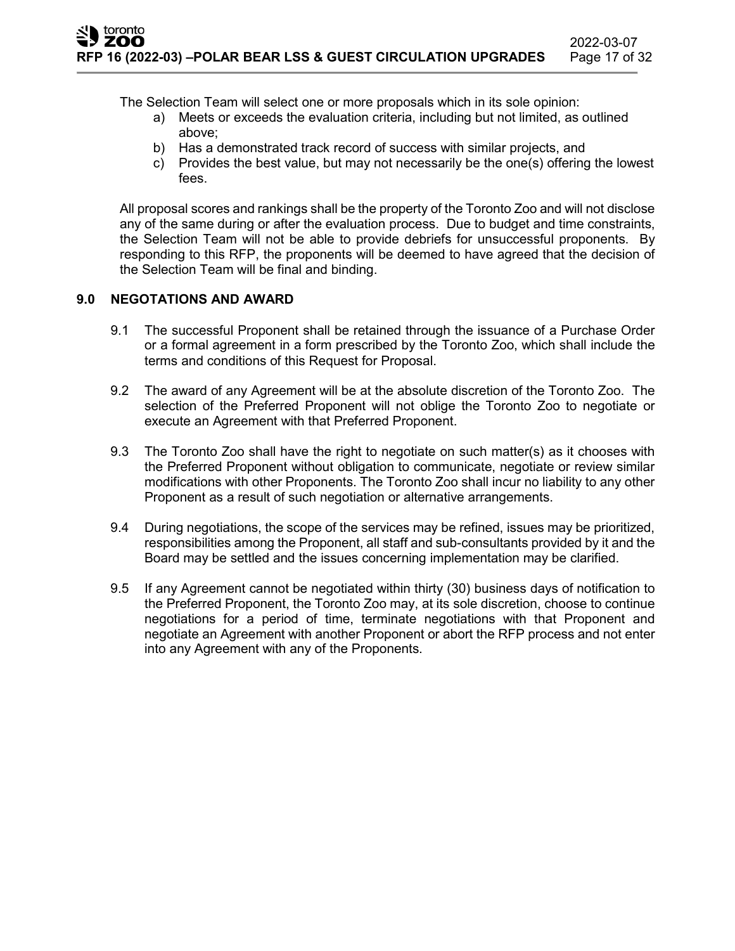The Selection Team will select one or more proposals which in its sole opinion:

- a) Meets or exceeds the evaluation criteria, including but not limited, as outlined above;
- b) Has a demonstrated track record of success with similar projects, and
- c) Provides the best value, but may not necessarily be the one(s) offering the lowest fees.

All proposal scores and rankings shall be the property of the Toronto Zoo and will not disclose any of the same during or after the evaluation process. Due to budget and time constraints, the Selection Team will not be able to provide debriefs for unsuccessful proponents. By responding to this RFP, the proponents will be deemed to have agreed that the decision of the Selection Team will be final and binding.

### **9.0 NEGOTATIONS AND AWARD**

- 9.1 The successful Proponent shall be retained through the issuance of a Purchase Order or a formal agreement in a form prescribed by the Toronto Zoo, which shall include the terms and conditions of this Request for Proposal.
- 9.2 The award of any Agreement will be at the absolute discretion of the Toronto Zoo. The selection of the Preferred Proponent will not oblige the Toronto Zoo to negotiate or execute an Agreement with that Preferred Proponent.
- 9.3 The Toronto Zoo shall have the right to negotiate on such matter(s) as it chooses with the Preferred Proponent without obligation to communicate, negotiate or review similar modifications with other Proponents. The Toronto Zoo shall incur no liability to any other Proponent as a result of such negotiation or alternative arrangements.
- 9.4 During negotiations, the scope of the services may be refined, issues may be prioritized, responsibilities among the Proponent, all staff and sub-consultants provided by it and the Board may be settled and the issues concerning implementation may be clarified.
- 9.5 If any Agreement cannot be negotiated within thirty (30) business days of notification to the Preferred Proponent, the Toronto Zoo may, at its sole discretion, choose to continue negotiations for a period of time, terminate negotiations with that Proponent and negotiate an Agreement with another Proponent or abort the RFP process and not enter into any Agreement with any of the Proponents.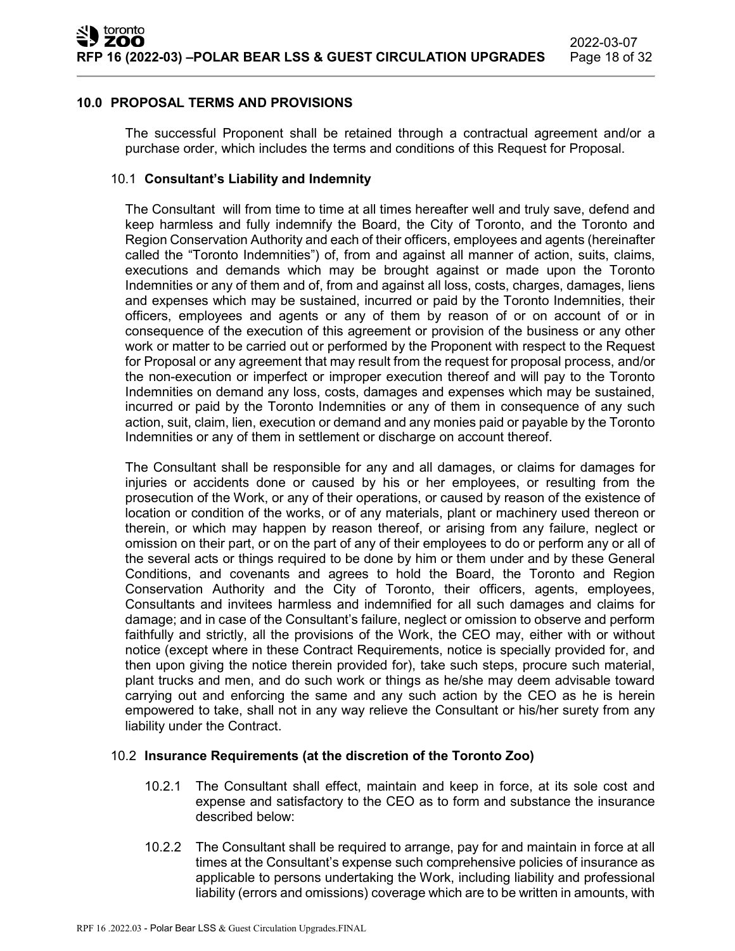#### **10.0 PROPOSAL TERMS AND PROVISIONS**

The successful Proponent shall be retained through a contractual agreement and/or a purchase order, which includes the terms and conditions of this Request for Proposal.

#### 10.1 **Consultant's Liability and Indemnity**

The Consultant will from time to time at all times hereafter well and truly save, defend and keep harmless and fully indemnify the Board, the City of Toronto, and the Toronto and Region Conservation Authority and each of their officers, employees and agents (hereinafter called the "Toronto Indemnities") of, from and against all manner of action, suits, claims, executions and demands which may be brought against or made upon the Toronto Indemnities or any of them and of, from and against all loss, costs, charges, damages, liens and expenses which may be sustained, incurred or paid by the Toronto Indemnities, their officers, employees and agents or any of them by reason of or on account of or in consequence of the execution of this agreement or provision of the business or any other work or matter to be carried out or performed by the Proponent with respect to the Request for Proposal or any agreement that may result from the request for proposal process, and/or the non-execution or imperfect or improper execution thereof and will pay to the Toronto Indemnities on demand any loss, costs, damages and expenses which may be sustained, incurred or paid by the Toronto Indemnities or any of them in consequence of any such action, suit, claim, lien, execution or demand and any monies paid or payable by the Toronto Indemnities or any of them in settlement or discharge on account thereof.

The Consultant shall be responsible for any and all damages, or claims for damages for injuries or accidents done or caused by his or her employees, or resulting from the prosecution of the Work, or any of their operations, or caused by reason of the existence of location or condition of the works, or of any materials, plant or machinery used thereon or therein, or which may happen by reason thereof, or arising from any failure, neglect or omission on their part, or on the part of any of their employees to do or perform any or all of the several acts or things required to be done by him or them under and by these General Conditions, and covenants and agrees to hold the Board, the Toronto and Region Conservation Authority and the City of Toronto, their officers, agents, employees, Consultants and invitees harmless and indemnified for all such damages and claims for damage; and in case of the Consultant's failure, neglect or omission to observe and perform faithfully and strictly, all the provisions of the Work, the CEO may, either with or without notice (except where in these Contract Requirements, notice is specially provided for, and then upon giving the notice therein provided for), take such steps, procure such material, plant trucks and men, and do such work or things as he/she may deem advisable toward carrying out and enforcing the same and any such action by the CEO as he is herein empowered to take, shall not in any way relieve the Consultant or his/her surety from any liability under the Contract.

#### 10.2 **Insurance Requirements (at the discretion of the Toronto Zoo)**

- 10.2.1 The Consultant shall effect, maintain and keep in force, at its sole cost and expense and satisfactory to the CEO as to form and substance the insurance described below:
- 10.2.2 The Consultant shall be required to arrange, pay for and maintain in force at all times at the Consultant's expense such comprehensive policies of insurance as applicable to persons undertaking the Work, including liability and professional liability (errors and omissions) coverage which are to be written in amounts, with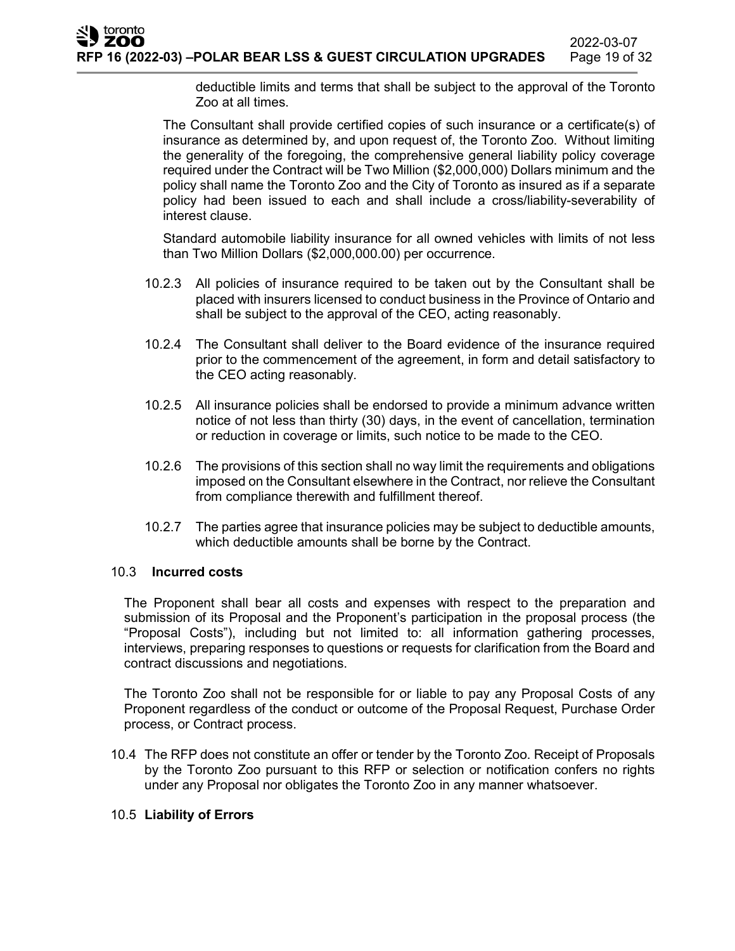deductible limits and terms that shall be subject to the approval of the Toronto Zoo at all times.

The Consultant shall provide certified copies of such insurance or a certificate(s) of insurance as determined by, and upon request of, the Toronto Zoo. Without limiting the generality of the foregoing, the comprehensive general liability policy coverage required under the Contract will be Two Million (\$2,000,000) Dollars minimum and the policy shall name the Toronto Zoo and the City of Toronto as insured as if a separate policy had been issued to each and shall include a cross/liability-severability of interest clause.

Standard automobile liability insurance for all owned vehicles with limits of not less than Two Million Dollars (\$2,000,000.00) per occurrence.

- 10.2.3 All policies of insurance required to be taken out by the Consultant shall be placed with insurers licensed to conduct business in the Province of Ontario and shall be subject to the approval of the CEO, acting reasonably.
- 10.2.4 The Consultant shall deliver to the Board evidence of the insurance required prior to the commencement of the agreement, in form and detail satisfactory to the CEO acting reasonably.
- 10.2.5 All insurance policies shall be endorsed to provide a minimum advance written notice of not less than thirty (30) days, in the event of cancellation, termination or reduction in coverage or limits, such notice to be made to the CEO.
- 10.2.6 The provisions of this section shall no way limit the requirements and obligations imposed on the Consultant elsewhere in the Contract, nor relieve the Consultant from compliance therewith and fulfillment thereof.
- 10.2.7 The parties agree that insurance policies may be subject to deductible amounts, which deductible amounts shall be borne by the Contract.

## 10.3 **Incurred costs**

The Proponent shall bear all costs and expenses with respect to the preparation and submission of its Proposal and the Proponent's participation in the proposal process (the "Proposal Costs"), including but not limited to: all information gathering processes, interviews, preparing responses to questions or requests for clarification from the Board and contract discussions and negotiations.

The Toronto Zoo shall not be responsible for or liable to pay any Proposal Costs of any Proponent regardless of the conduct or outcome of the Proposal Request, Purchase Order process, or Contract process.

10.4 The RFP does not constitute an offer or tender by the Toronto Zoo. Receipt of Proposals by the Toronto Zoo pursuant to this RFP or selection or notification confers no rights under any Proposal nor obligates the Toronto Zoo in any manner whatsoever.

## 10.5 **Liability of Errors**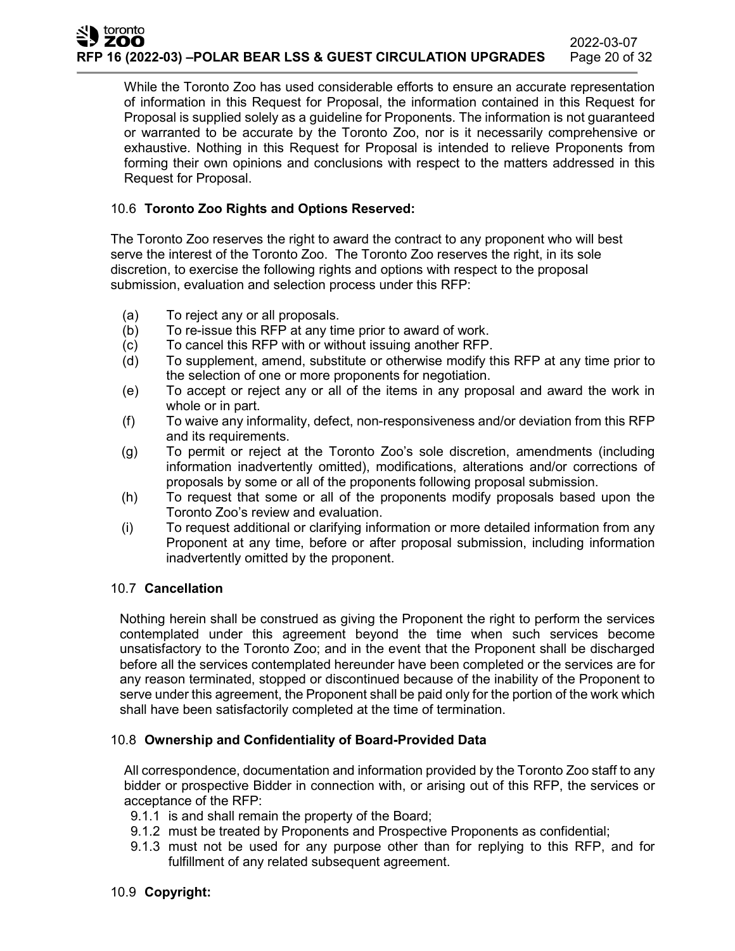While the Toronto Zoo has used considerable efforts to ensure an accurate representation of information in this Request for Proposal, the information contained in this Request for Proposal is supplied solely as a guideline for Proponents. The information is not guaranteed or warranted to be accurate by the Toronto Zoo, nor is it necessarily comprehensive or exhaustive. Nothing in this Request for Proposal is intended to relieve Proponents from forming their own opinions and conclusions with respect to the matters addressed in this Request for Proposal.

### 10.6 **Toronto Zoo Rights and Options Reserved:**

The Toronto Zoo reserves the right to award the contract to any proponent who will best serve the interest of the Toronto Zoo. The Toronto Zoo reserves the right, in its sole discretion, to exercise the following rights and options with respect to the proposal submission, evaluation and selection process under this RFP:

- (a) To reject any or all proposals.
- (b) To re-issue this RFP at any time prior to award of work.
- (c) To cancel this RFP with or without issuing another RFP.
- (d) To supplement, amend, substitute or otherwise modify this RFP at any time prior to the selection of one or more proponents for negotiation.
- (e) To accept or reject any or all of the items in any proposal and award the work in whole or in part.
- (f) To waive any informality, defect, non-responsiveness and/or deviation from this RFP and its requirements.
- (g) To permit or reject at the Toronto Zoo's sole discretion, amendments (including information inadvertently omitted), modifications, alterations and/or corrections of proposals by some or all of the proponents following proposal submission.
- (h) To request that some or all of the proponents modify proposals based upon the Toronto Zoo's review and evaluation.
- (i) To request additional or clarifying information or more detailed information from any Proponent at any time, before or after proposal submission, including information inadvertently omitted by the proponent.

#### 10.7 **Cancellation**

Nothing herein shall be construed as giving the Proponent the right to perform the services contemplated under this agreement beyond the time when such services become unsatisfactory to the Toronto Zoo; and in the event that the Proponent shall be discharged before all the services contemplated hereunder have been completed or the services are for any reason terminated, stopped or discontinued because of the inability of the Proponent to serve under this agreement, the Proponent shall be paid only for the portion of the work which shall have been satisfactorily completed at the time of termination.

#### 10.8 **Ownership and Confidentiality of Board-Provided Data**

All correspondence, documentation and information provided by the Toronto Zoo staff to any bidder or prospective Bidder in connection with, or arising out of this RFP, the services or acceptance of the RFP:

- 9.1.1 is and shall remain the property of the Board;
- 9.1.2 must be treated by Proponents and Prospective Proponents as confidential;
- 9.1.3 must not be used for any purpose other than for replying to this RFP, and for fulfillment of any related subsequent agreement.

#### 10.9 **Copyright:**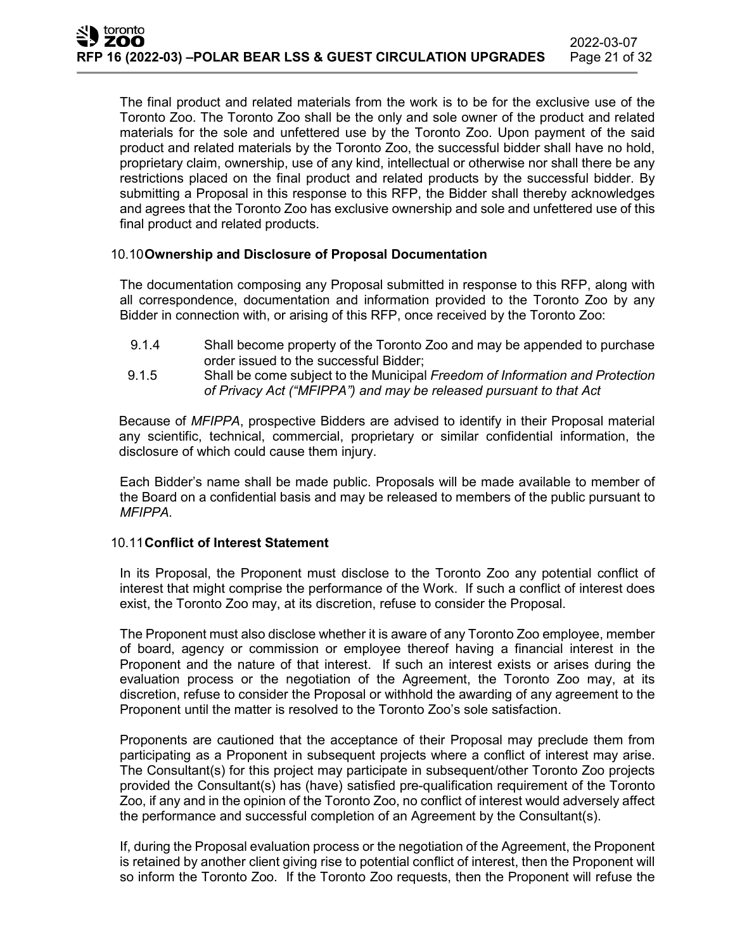The final product and related materials from the work is to be for the exclusive use of the Toronto Zoo. The Toronto Zoo shall be the only and sole owner of the product and related materials for the sole and unfettered use by the Toronto Zoo. Upon payment of the said product and related materials by the Toronto Zoo, the successful bidder shall have no hold, proprietary claim, ownership, use of any kind, intellectual or otherwise nor shall there be any restrictions placed on the final product and related products by the successful bidder. By submitting a Proposal in this response to this RFP, the Bidder shall thereby acknowledges and agrees that the Toronto Zoo has exclusive ownership and sole and unfettered use of this final product and related products.

#### 10.10**Ownership and Disclosure of Proposal Documentation**

The documentation composing any Proposal submitted in response to this RFP, along with all correspondence, documentation and information provided to the Toronto Zoo by any Bidder in connection with, or arising of this RFP, once received by the Toronto Zoo:

- 9.1.4 Shall become property of the Toronto Zoo and may be appended to purchase order issued to the successful Bidder;
- 9.1.5 Shall be come subject to the Municipal *Freedom of Information and Protection of Privacy Act ("MFIPPA") and may be released pursuant to that Act*

Because of *MFIPPA*, prospective Bidders are advised to identify in their Proposal material any scientific, technical, commercial, proprietary or similar confidential information, the disclosure of which could cause them injury.

Each Bidder's name shall be made public. Proposals will be made available to member of the Board on a confidential basis and may be released to members of the public pursuant to *MFIPPA.*

#### 10.11**Conflict of Interest Statement**

In its Proposal, the Proponent must disclose to the Toronto Zoo any potential conflict of interest that might comprise the performance of the Work. If such a conflict of interest does exist, the Toronto Zoo may, at its discretion, refuse to consider the Proposal.

The Proponent must also disclose whether it is aware of any Toronto Zoo employee, member of board, agency or commission or employee thereof having a financial interest in the Proponent and the nature of that interest. If such an interest exists or arises during the evaluation process or the negotiation of the Agreement, the Toronto Zoo may, at its discretion, refuse to consider the Proposal or withhold the awarding of any agreement to the Proponent until the matter is resolved to the Toronto Zoo's sole satisfaction.

Proponents are cautioned that the acceptance of their Proposal may preclude them from participating as a Proponent in subsequent projects where a conflict of interest may arise. The Consultant(s) for this project may participate in subsequent/other Toronto Zoo projects provided the Consultant(s) has (have) satisfied pre-qualification requirement of the Toronto Zoo, if any and in the opinion of the Toronto Zoo, no conflict of interest would adversely affect the performance and successful completion of an Agreement by the Consultant(s).

If, during the Proposal evaluation process or the negotiation of the Agreement, the Proponent is retained by another client giving rise to potential conflict of interest, then the Proponent will so inform the Toronto Zoo. If the Toronto Zoo requests, then the Proponent will refuse the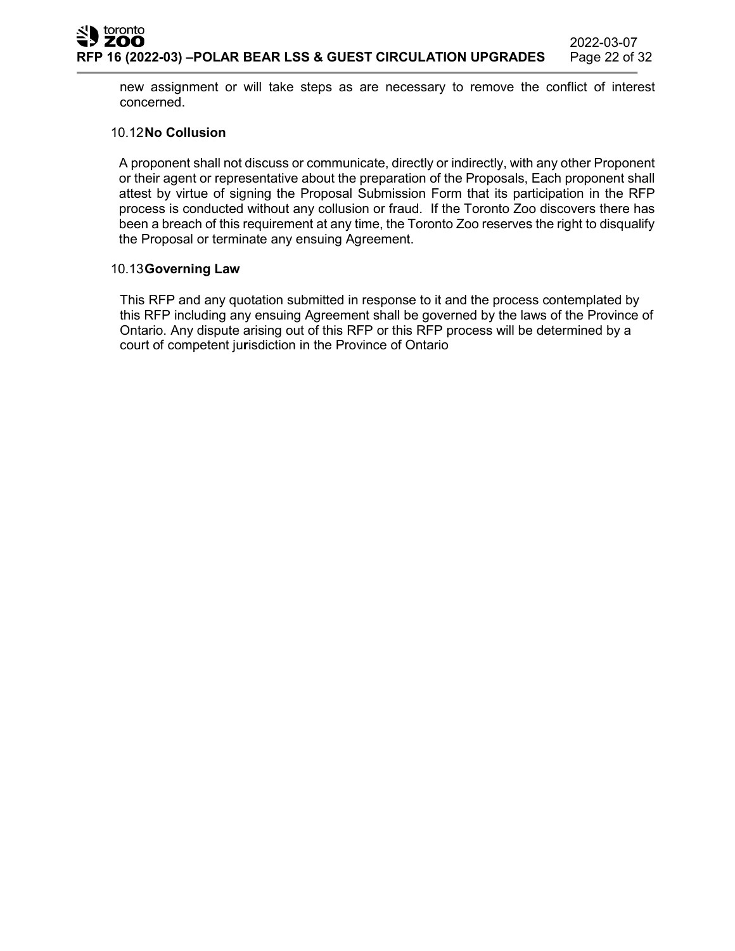new assignment or will take steps as are necessary to remove the conflict of interest concerned.

#### 10.12**No Collusion**

A proponent shall not discuss or communicate, directly or indirectly, with any other Proponent or their agent or representative about the preparation of the Proposals, Each proponent shall attest by virtue of signing the Proposal Submission Form that its participation in the RFP process is conducted without any collusion or fraud. If the Toronto Zoo discovers there has been a breach of this requirement at any time, the Toronto Zoo reserves the right to disqualify the Proposal or terminate any ensuing Agreement.

#### 10.13**Governing Law**

This RFP and any quotation submitted in response to it and the process contemplated by this RFP including any ensuing Agreement shall be governed by the laws of the Province of Ontario. Any dispute arising out of this RFP or this RFP process will be determined by a court of competent ju**r**isdiction in the Province of Ontario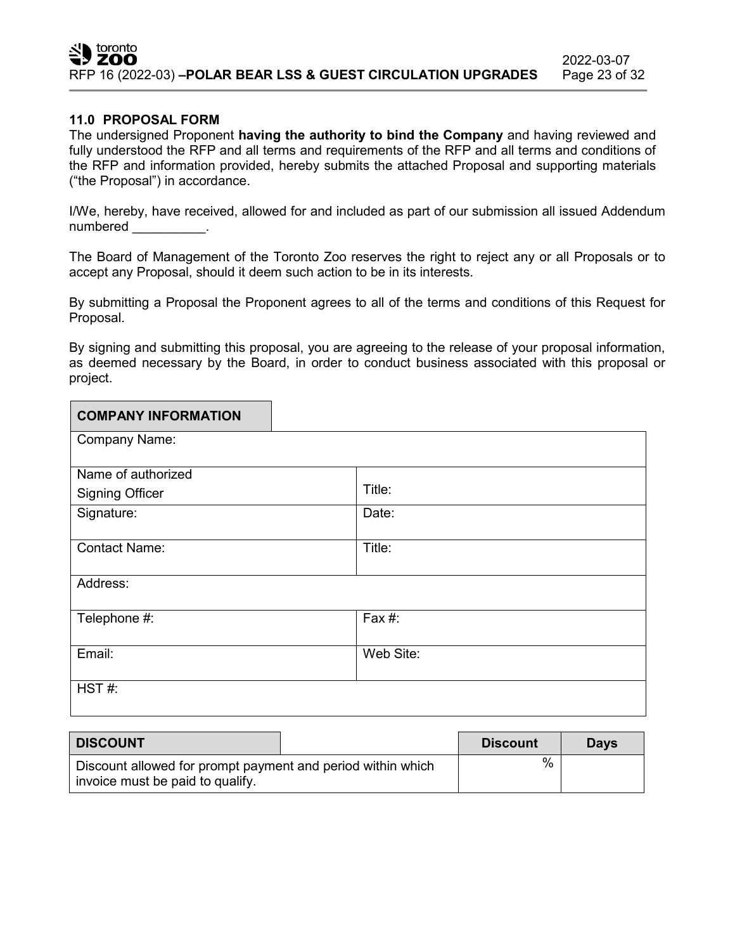#### **11.0 PROPOSAL FORM**

The undersigned Proponent **having the authority to bind the Company** and having reviewed and fully understood the RFP and all terms and requirements of the RFP and all terms and conditions of the RFP and information provided, hereby submits the attached Proposal and supporting materials ("the Proposal") in accordance.

I/We, hereby, have received, allowed for and included as part of our submission all issued Addendum numbered in the set of the set of the set of the set of the set of the set of the set of the set of the set of the set of the set of the set of the set of the set of the set of the set of the set of the set of the set of t

The Board of Management of the Toronto Zoo reserves the right to reject any or all Proposals or to accept any Proposal, should it deem such action to be in its interests.

By submitting a Proposal the Proponent agrees to all of the terms and conditions of this Request for Proposal.

By signing and submitting this proposal, you are agreeing to the release of your proposal information, as deemed necessary by the Board, in order to conduct business associated with this proposal or project.

| <b>COMPANY INFORMATION</b> |           |
|----------------------------|-----------|
| Company Name:              |           |
| Name of authorized         |           |
| <b>Signing Officer</b>     | Title:    |
| Signature:                 | Date:     |
| <b>Contact Name:</b>       | Title:    |
|                            |           |
| Address:                   |           |
| Telephone #:               | Fax #:    |
|                            |           |
| Email:                     | Web Site: |
| HST#:                      |           |

| <b>DISCOUNT</b>                                                                                 | <b>Discount</b> | <b>Davs</b> |
|-------------------------------------------------------------------------------------------------|-----------------|-------------|
| Discount allowed for prompt payment and period within which<br>invoice must be paid to qualify. | %               |             |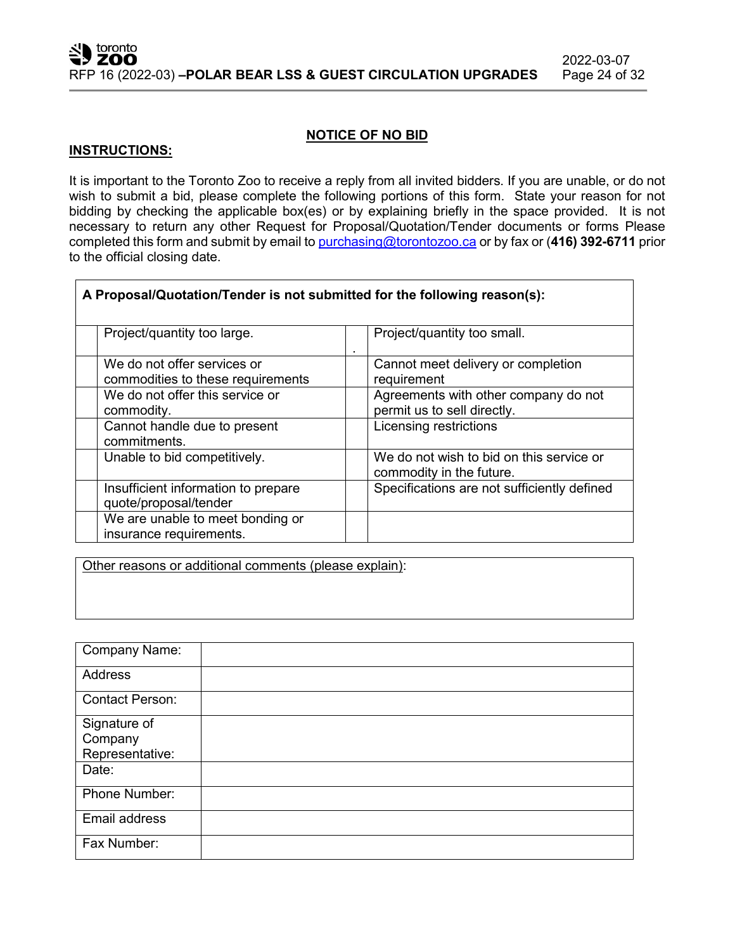#### **NOTICE OF NO BID**

#### **INSTRUCTIONS:**

It is important to the Toronto Zoo to receive a reply from all invited bidders. If you are unable, or do not wish to submit a bid, please complete the following portions of this form. State your reason for not bidding by checking the applicable box(es) or by explaining briefly in the space provided. It is not necessary to return any other Request for Proposal/Quotation/Tender documents or forms Please completed this form and submit by email to [purchasing@torontozoo.ca](mailto:purchasing@torontozoo.ca) or by fax or (**416) 392-6711** prior to the official closing date.

| A Proposal/Quotation/Tender is not submitted for the following reason(s): |                                                                      |
|---------------------------------------------------------------------------|----------------------------------------------------------------------|
| Project/quantity too large.                                               | Project/quantity too small.<br>٠                                     |
| We do not offer services or<br>commodities to these requirements          | Cannot meet delivery or completion<br>requirement                    |
| We do not offer this service or<br>commodity.                             | Agreements with other company do not<br>permit us to sell directly.  |
| Cannot handle due to present<br>commitments.                              | Licensing restrictions                                               |
| Unable to bid competitively.                                              | We do not wish to bid on this service or<br>commodity in the future. |
| Insufficient information to prepare<br>quote/proposal/tender              | Specifications are not sufficiently defined                          |
| We are unable to meet bonding or<br>insurance requirements.               |                                                                      |

Other reasons or additional comments (please explain):

| <b>Company Name:</b>                       |  |
|--------------------------------------------|--|
| <b>Address</b>                             |  |
| <b>Contact Person:</b>                     |  |
| Signature of<br>Company<br>Representative: |  |
| Date:                                      |  |
| Phone Number:                              |  |
| Email address                              |  |
| Fax Number:                                |  |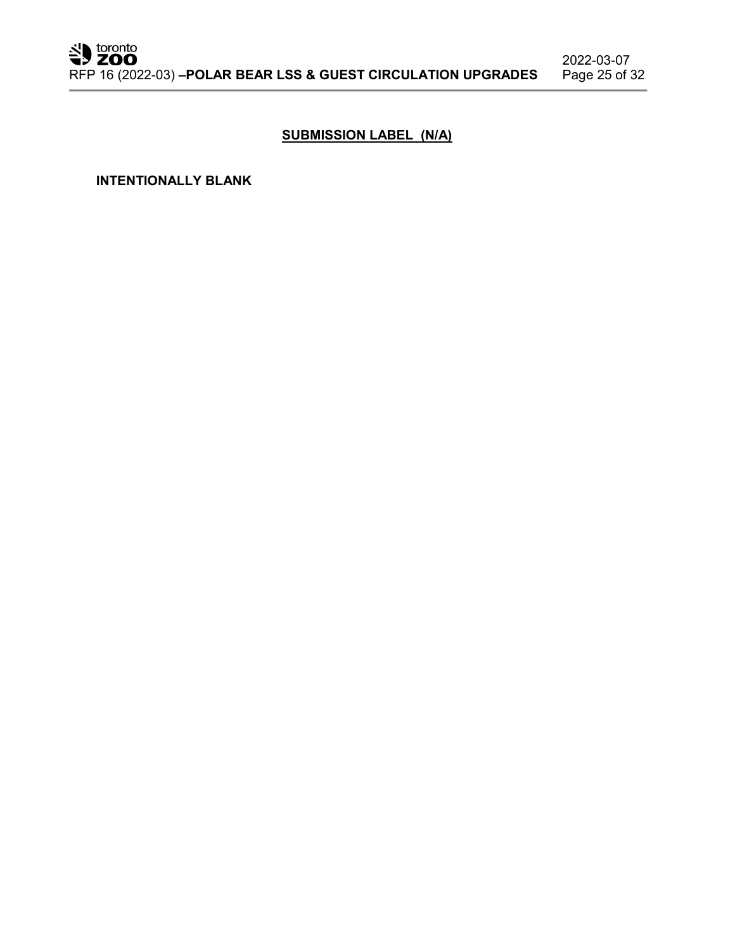## **SUBMISSION LABEL (N/A)**

**INTENTIONALLY BLANK**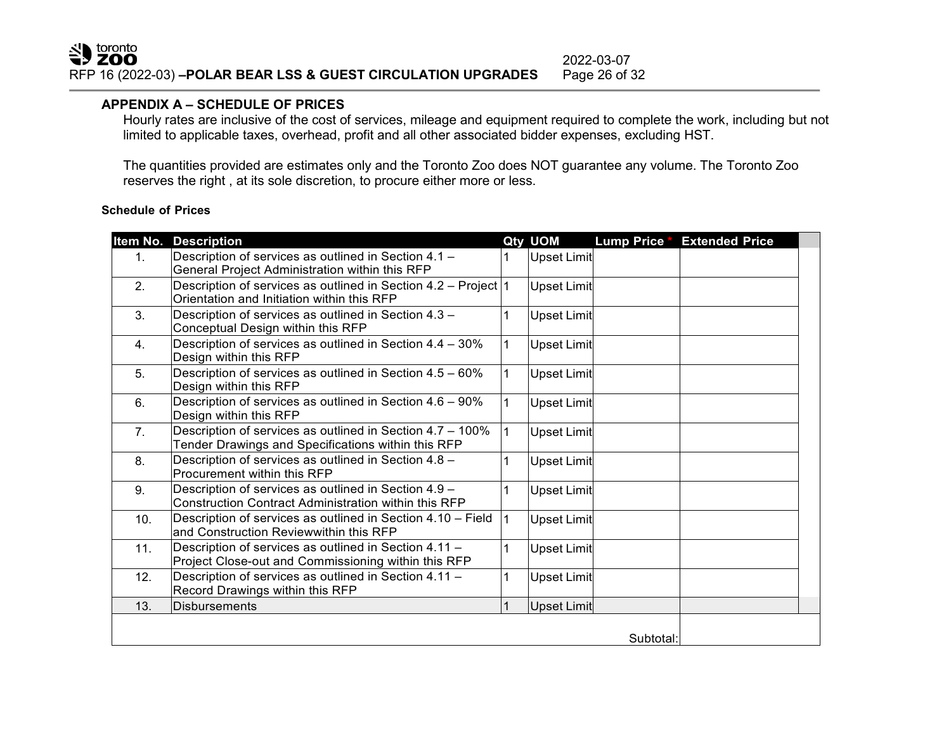#### **APPENDIX A – SCHEDULE OF PRICES**

Hourly rates are inclusive of the cost of services, mileage and equipment required to complete the work, including but not limited to applicable taxes, overhead, profit and all other associated bidder expenses, excluding HST.

The quantities provided are estimates only and the Toronto Zoo does NOT guarantee any volume. The Toronto Zoo reserves the right , at its sole discretion, to procure either more or less.

#### **Schedule of Prices**

| Item No. | <b>Description</b>                                                                                                  |              | Qty UOM            | Lump Price * | <b>Extended Price</b> |  |
|----------|---------------------------------------------------------------------------------------------------------------------|--------------|--------------------|--------------|-----------------------|--|
| 1.       | Description of services as outlined in Section 4.1 -<br>General Project Administration within this RFP              |              | Upset Limit        |              |                       |  |
| 2.       | Description of services as outlined in Section 4.2 – Project $ 1 $<br>Orientation and Initiation within this RFP    |              | Upset Limit        |              |                       |  |
| 3.       | Description of services as outlined in Section 4.3 -<br>Conceptual Design within this RFP                           | $\mathbf{1}$ | Upset Limit        |              |                       |  |
| 4.       | Description of services as outlined in Section 4.4 - 30%<br>Design within this RFP                                  | $\mathbf{1}$ | <b>Upset Limit</b> |              |                       |  |
| 5.       | Description of services as outlined in Section 4.5 - 60%<br>Design within this RFP                                  | $\mathbf{1}$ | <b>Upset Limit</b> |              |                       |  |
| 6.       | Description of services as outlined in Section 4.6 - 90%<br>Design within this RFP                                  | $\mathbf{1}$ | Upset Limit        |              |                       |  |
| 7.       | Description of services as outlined in Section 4.7 - 100%<br>Tender Drawings and Specifications within this RFP     | $\mathbf{1}$ | <b>Upset Limit</b> |              |                       |  |
| 8.       | Description of services as outlined in Section 4.8 -<br>Procurement within this RFP                                 |              | Upset Limit        |              |                       |  |
| 9.       | Description of services as outlined in Section 4.9 -<br><b>Construction Contract Administration within this RFP</b> | 1            | Upset Limit        |              |                       |  |
| 10.      | Description of services as outlined in Section 4.10 - Field<br>and Construction Reviewwithin this RFP               | $\mathbf{1}$ | Upset Limit        |              |                       |  |
| 11.      | Description of services as outlined in Section 4.11 -<br>Project Close-out and Commissioning within this RFP        | 1            | Upset Limit        |              |                       |  |
| 12.      | Description of services as outlined in Section 4.11 -<br>Record Drawings within this RFP                            |              | <b>Upset Limit</b> |              |                       |  |
| 13.      | <b>Disbursements</b>                                                                                                |              | <b>Upset Limit</b> |              |                       |  |
|          |                                                                                                                     |              |                    | Subtotal:    |                       |  |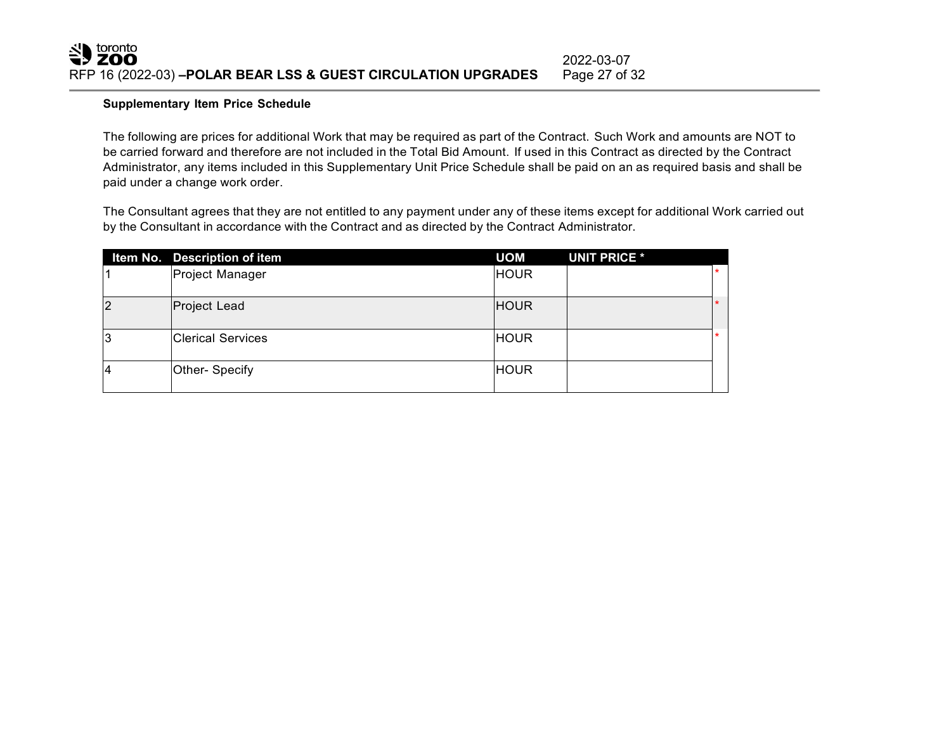#### **Supplementary Item Price Schedule**

The following are prices for additional Work that may be required as part of the Contract. Such Work and amounts are NOT to be carried forward and therefore are not included in the Total Bid Amount. If used in this Contract as directed by the Contract Administrator, any items included in this Supplementary Unit Price Schedule shall be paid on an as required basis and shall be paid under a change work order.

The Consultant agrees that they are not entitled to any payment under any of these items except for additional Work carried out by the Consultant in accordance with the Contract and as directed by the Contract Administrator.

|                | Item No. Description of item | <b>UOM</b>  | <b>UNIT PRICE *</b> |        |
|----------------|------------------------------|-------------|---------------------|--------|
|                | Project Manager              | <b>HOUR</b> |                     | $\ast$ |
| $\overline{2}$ | Project Lead                 | <b>HOUR</b> |                     |        |
| 3              | <b>IClerical Services</b>    | <b>HOUR</b> |                     | $\ast$ |
| $\overline{4}$ | Other- Specify               | <b>HOUR</b> |                     |        |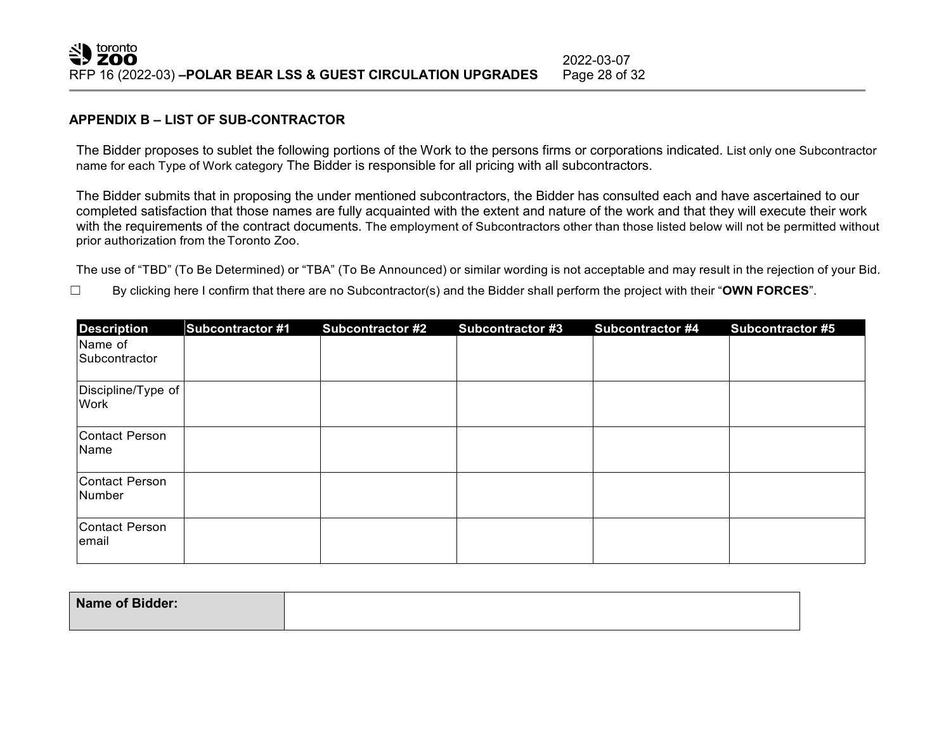#### **APPENDIX B – LIST OF SUB-CONTRACTOR**

The Bidder proposes to sublet the following portions of the Work to the persons firms or corporations indicated. List only one Subcontractor name for each Type of Work category The Bidder is responsible for all pricing with all subcontractors.

The Bidder submits that in proposing the under mentioned subcontractors, the Bidder has consulted each and have ascertained to our completed satisfaction that those names are fully acquainted with the extent and nature of the work and that they will execute their work with the requirements of the contract documents. The employment of Subcontractors other than those listed below will not be permitted without prior authorization from theToronto Zoo.

The use of "TBD" (To Be Determined) or "TBA" (To Be Announced) or similar wording is not acceptable and may result in the rejection of your Bid.

☐ By clicking here I confirm that there are no Subcontractor(s) and the Bidder shall perform the project with their "**OWN FORCES**".

| <b>Description</b>                | <b>Subcontractor #1</b> | <b>Subcontractor #2</b> | <b>Subcontractor #3</b> | <b>Subcontractor #4</b> | <b>Subcontractor #5</b> |
|-----------------------------------|-------------------------|-------------------------|-------------------------|-------------------------|-------------------------|
| Name of<br>Subcontractor          |                         |                         |                         |                         |                         |
| Discipline/Type of<br><b>Work</b> |                         |                         |                         |                         |                         |
| Contact Person<br>Name            |                         |                         |                         |                         |                         |
| Contact Person<br>Number          |                         |                         |                         |                         |                         |
| Contact Person<br>email           |                         |                         |                         |                         |                         |

| <b>Name of Bidder:</b> |  |
|------------------------|--|
|                        |  |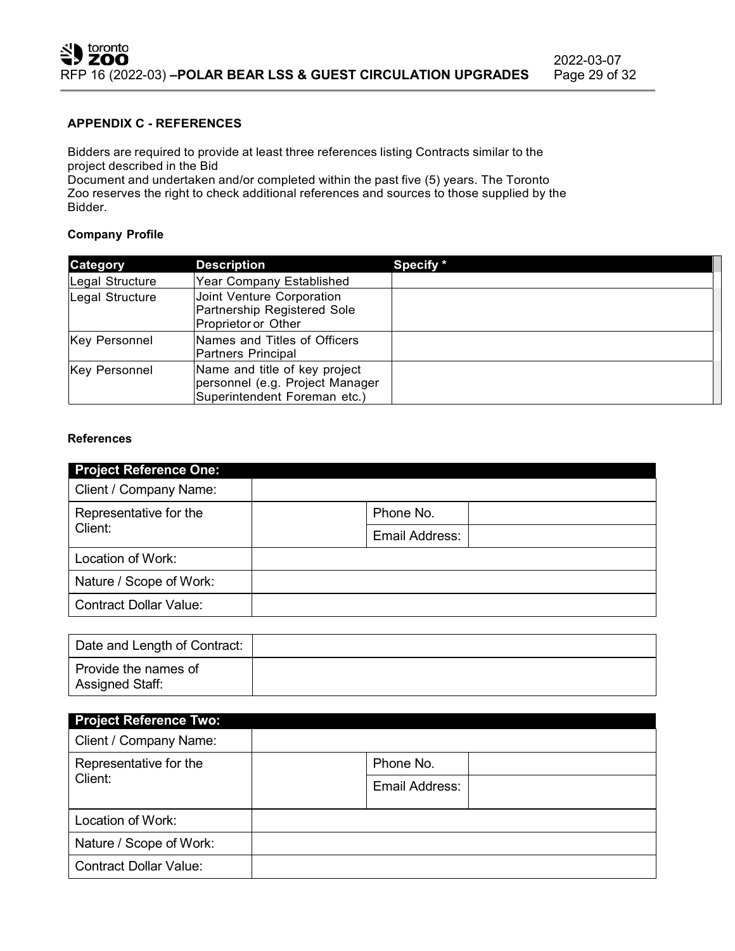#### **APPENDIX C - REFERENCES**

Bidders are required to provide at least three references listing Contracts similar to the project described in the Bid

Document and undertaken and/or completed within the past five (5) years. The Toronto Zoo reserves the right to check additional references and sources to those supplied by the Bidder.

#### **Company Profile**

| Category             | <b>Description</b>                                                                               | Specify * |
|----------------------|--------------------------------------------------------------------------------------------------|-----------|
| Legal Structure      | Year Company Established                                                                         |           |
| Legal Structure      | Joint Venture Corporation<br>Partnership Registered Sole<br>Proprietor or Other                  |           |
| <b>Key Personnel</b> | Names and Titles of Officers<br>Partners Principal                                               |           |
| <b>Key Personnel</b> | Name and title of key project<br>personnel (e.g. Project Manager<br>Superintendent Foreman etc.) |           |

#### **References**

| <b>Project Reference One:</b> |                |
|-------------------------------|----------------|
| Client / Company Name:        |                |
| Representative for the        | Phone No.      |
| Client:                       | Email Address: |
| Location of Work:             |                |
| Nature / Scope of Work:       |                |
| <b>Contract Dollar Value:</b> |                |

| Date and Length of Contract:            |  |
|-----------------------------------------|--|
| Provide the names of<br>Assigned Staff: |  |

| <b>Project Reference Two:</b> |                |  |  |  |  |
|-------------------------------|----------------|--|--|--|--|
| Client / Company Name:        |                |  |  |  |  |
| Representative for the        | Phone No.      |  |  |  |  |
| Client:                       | Email Address: |  |  |  |  |
| Location of Work:             |                |  |  |  |  |
| Nature / Scope of Work:       |                |  |  |  |  |
| <b>Contract Dollar Value:</b> |                |  |  |  |  |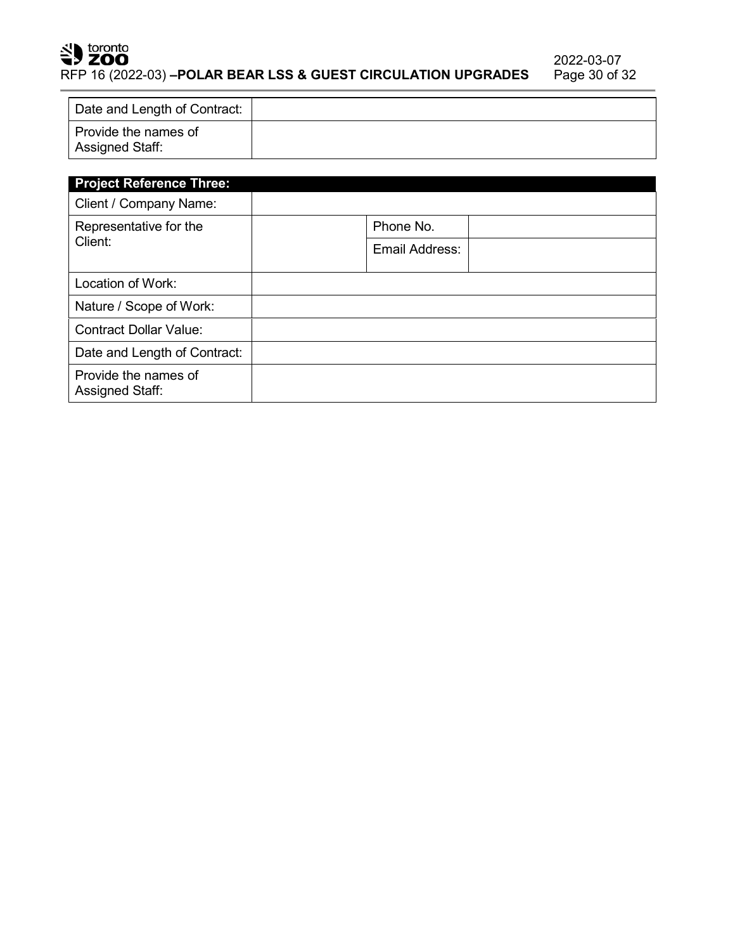## SU toronto

RFP 16 (2022-03) **–POLAR BEAR LSS & GUEST CIRCULATION UPGRADES** 

| Date and Length of Contract:            |  |
|-----------------------------------------|--|
| Provide the names of<br>Assigned Staff: |  |

| <b>Project Reference Three:</b>                |                |  |  |  |
|------------------------------------------------|----------------|--|--|--|
| Client / Company Name:                         |                |  |  |  |
| Representative for the                         | Phone No.      |  |  |  |
| Client:                                        | Email Address: |  |  |  |
| Location of Work:                              |                |  |  |  |
| Nature / Scope of Work:                        |                |  |  |  |
| <b>Contract Dollar Value:</b>                  |                |  |  |  |
| Date and Length of Contract:                   |                |  |  |  |
| Provide the names of<br><b>Assigned Staff:</b> |                |  |  |  |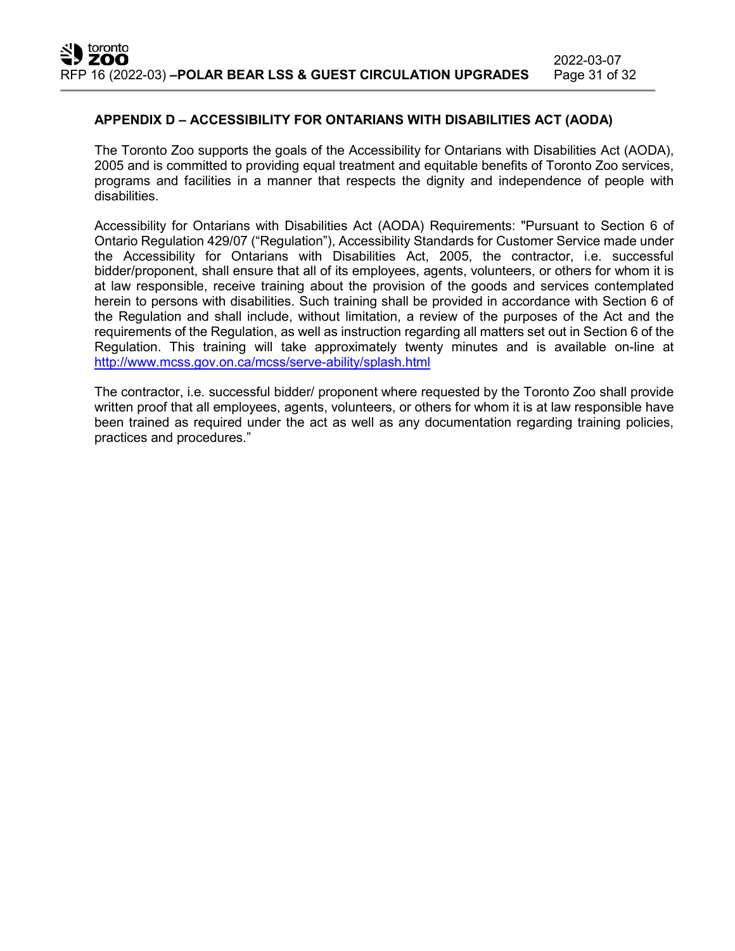#### **APPENDIX D – ACCESSIBILITY FOR ONTARIANS WITH DISABILITIES ACT (AODA)**

The Toronto Zoo supports the goals of the Accessibility for Ontarians with Disabilities Act (AODA), 2005 and is committed to providing equal treatment and equitable benefits of Toronto Zoo services, programs and facilities in a manner that respects the dignity and independence of people with disabilities.

Accessibility for Ontarians with Disabilities Act (AODA) Requirements: "Pursuant to Section 6 of Ontario Regulation 429/07 ("Regulation"), Accessibility Standards for Customer Service made under the Accessibility for Ontarians with Disabilities Act, 2005, the contractor, i.e. successful bidder/proponent, shall ensure that all of its employees, agents, volunteers, or others for whom it is at law responsible, receive training about the provision of the goods and services contemplated herein to persons with disabilities. Such training shall be provided in accordance with Section 6 of the Regulation and shall include, without limitation, a review of the purposes of the Act and the requirements of the Regulation, as well as instruction regarding all matters set out in Section 6 of the Regulation. This training will take approximately twenty minutes and is available on-line at <http://www.mcss.gov.on.ca/mcss/serve-ability/splash.html>

The contractor, i.e. successful bidder/ proponent where requested by the Toronto Zoo shall provide written proof that all employees, agents, volunteers, or others for whom it is at law responsible have been trained as required under the act as well as any documentation regarding training policies, practices and procedures."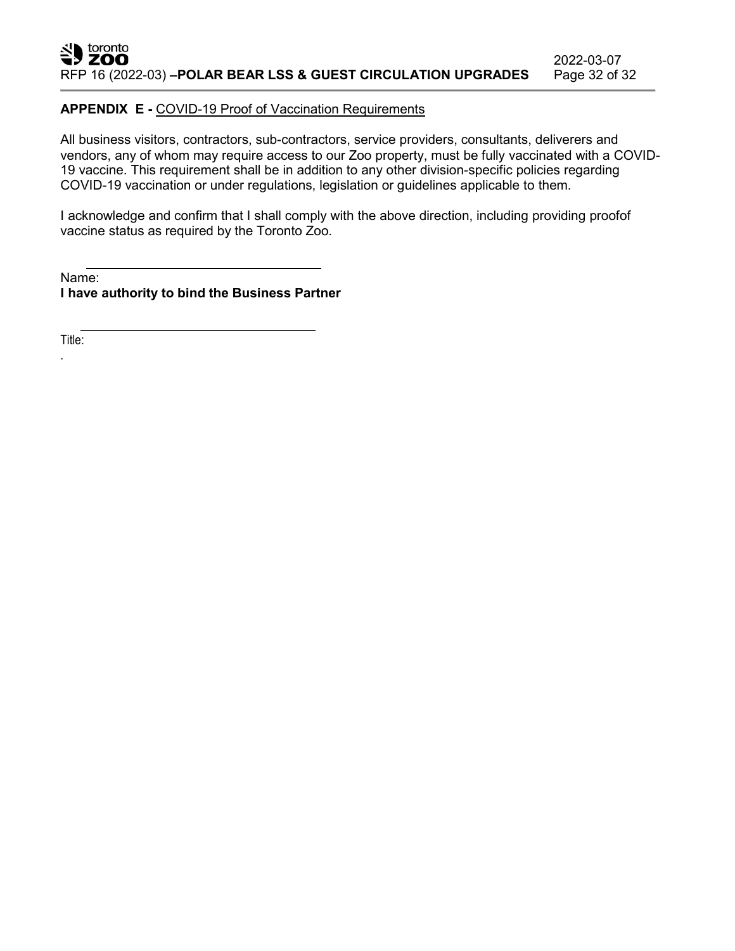#### **APPENDIX E -** COVID-19 Proof of Vaccination Requirements

All business visitors, contractors, sub-contractors, service providers, consultants, deliverers and vendors, any of whom may require access to our Zoo property, must be fully vaccinated with a COVID-19 vaccine. This requirement shall be in addition to any other division-specific policies regarding COVID-19 vaccination or under regulations, legislation or guidelines applicable to them.

I acknowledge and confirm that I shall comply with the above direction, including providing proofof vaccine status as required by the Toronto Zoo.

Name: **I have authority to bind the Business Partner**

Title:

.